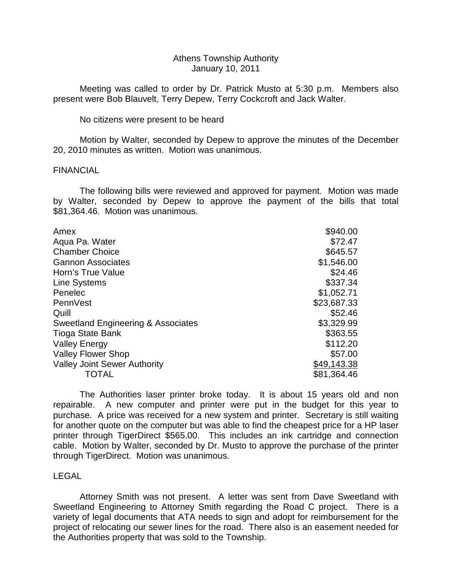# Athens Township Authority January 10, 2011

 Meeting was called to order by Dr. Patrick Musto at 5:30 p.m. Members also present were Bob Blauvelt, Terry Depew, Terry Cockcroft and Jack Walter.

No citizens were present to be heard

 Motion by Walter, seconded by Depew to approve the minutes of the December 20, 2010 minutes as written. Motion was unanimous.

# FINANCIAL

 The following bills were reviewed and approved for payment. Motion was made by Walter, seconded by Depew to approve the payment of the bills that total \$81,364.46. Motion was unanimous.

| Amex                                | \$940.00    |
|-------------------------------------|-------------|
| Aqua Pa. Water                      | \$72.47     |
| <b>Chamber Choice</b>               | \$645.57    |
| <b>Gannon Associates</b>            | \$1,546.00  |
| Horn's True Value                   | \$24.46     |
| <b>Line Systems</b>                 | \$337.34    |
| Penelec                             | \$1,052.71  |
| PennVest                            | \$23,687.33 |
| Quill                               | \$52.46     |
| Sweetland Engineering & Associates  | \$3,329.99  |
| Tioga State Bank                    | \$363.55    |
| <b>Valley Energy</b>                | \$112.20    |
| <b>Valley Flower Shop</b>           | \$57.00     |
| <b>Valley Joint Sewer Authority</b> | \$49,143.38 |
| TOTAL                               | \$81,364.46 |
|                                     |             |

 The Authorities laser printer broke today. It is about 15 years old and non repairable. A new computer and printer were put in the budget for this year to purchase. A price was received for a new system and printer. Secretary is still waiting for another quote on the computer but was able to find the cheapest price for a HP laser printer through TigerDirect \$565.00. This includes an ink cartridge and connection cable. Motion by Walter, seconded by Dr. Musto to approve the purchase of the printer through TigerDirect. Motion was unanimous.

# LEGAL

 Attorney Smith was not present. A letter was sent from Dave Sweetland with Sweetland Engineering to Attorney Smith regarding the Road C project. There is a variety of legal documents that ATA needs to sign and adopt for reimbursement for the project of relocating our sewer lines for the road. There also is an easement needed for the Authorities property that was sold to the Township.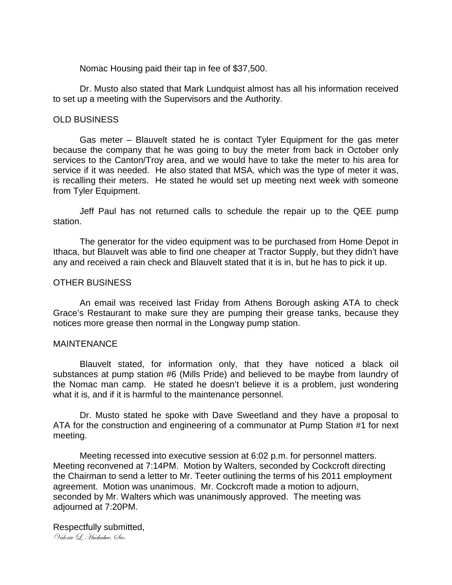Nomac Housing paid their tap in fee of \$37,500.

 Dr. Musto also stated that Mark Lundquist almost has all his information received to set up a meeting with the Supervisors and the Authority.

# OLD BUSINESS

 Gas meter – Blauvelt stated he is contact Tyler Equipment for the gas meter because the company that he was going to buy the meter from back in October only services to the Canton/Troy area, and we would have to take the meter to his area for service if it was needed. He also stated that MSA, which was the type of meter it was, is recalling their meters. He stated he would set up meeting next week with someone from Tyler Equipment.

 Jeff Paul has not returned calls to schedule the repair up to the QEE pump station.

 The generator for the video equipment was to be purchased from Home Depot in Ithaca, but Blauvelt was able to find one cheaper at Tractor Supply, but they didn't have any and received a rain check and Blauvelt stated that it is in, but he has to pick it up.

# OTHER BUSINESS

 An email was received last Friday from Athens Borough asking ATA to check Grace's Restaurant to make sure they are pumping their grease tanks, because they notices more grease then normal in the Longway pump station.

# MAINTENANCE

 Blauvelt stated, for information only, that they have noticed a black oil substances at pump station #6 (Mills Pride) and believed to be maybe from laundry of the Nomac man camp. He stated he doesn't believe it is a problem, just wondering what it is, and if it is harmful to the maintenance personnel.

 Dr. Musto stated he spoke with Dave Sweetland and they have a proposal to ATA for the construction and engineering of a communator at Pump Station #1 for next meeting.

 Meeting recessed into executive session at 6:02 p.m. for personnel matters. Meeting reconvened at 7:14PM. Motion by Walters, seconded by Cockcroft directing the Chairman to send a letter to Mr. Teeter outlining the terms of his 2011 employment agreement. Motion was unanimous. Mr. Cockcroft made a motion to adjourn, seconded by Mr. Walters which was unanimously approved. The meeting was adjourned at 7:20PM.

Respectfully submitted, Valorie L. Huckabee, Øec.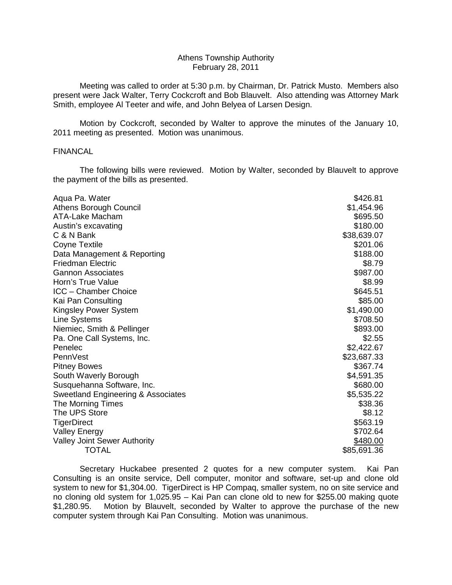## Athens Township Authority February 28, 2011

 Meeting was called to order at 5:30 p.m. by Chairman, Dr. Patrick Musto. Members also present were Jack Walter, Terry Cockcroft and Bob Blauvelt. Also attending was Attorney Mark Smith, employee Al Teeter and wife, and John Belyea of Larsen Design.

 Motion by Cockcroft, seconded by Walter to approve the minutes of the January 10, 2011 meeting as presented. Motion was unanimous.

# FINANCAL

 The following bills were reviewed. Motion by Walter, seconded by Blauvelt to approve the payment of the bills as presented.

| Aqua Pa. Water                                | \$426.81    |
|-----------------------------------------------|-------------|
| Athens Borough Council                        | \$1,454.96  |
| <b>ATA-Lake Macham</b>                        | \$695.50    |
| Austin's excavating                           | \$180.00    |
| C & N Bank                                    | \$38,639.07 |
| <b>Coyne Textile</b>                          | \$201.06    |
| Data Management & Reporting                   | \$188.00    |
| <b>Friedman Electric</b>                      | \$8.79      |
| <b>Gannon Associates</b>                      | \$987.00    |
| Horn's True Value                             | \$8.99      |
| ICC - Chamber Choice                          | \$645.51    |
| Kai Pan Consulting                            | \$85.00     |
| Kingsley Power System                         | \$1,490.00  |
| Line Systems                                  | \$708.50    |
| Niemiec, Smith & Pellinger                    | \$893.00    |
| Pa. One Call Systems, Inc.                    | \$2.55      |
| Penelec                                       | \$2,422.67  |
| PennVest                                      | \$23,687.33 |
| <b>Pitney Bowes</b>                           | \$367.74    |
| South Waverly Borough                         | \$4,591.35  |
| Susquehanna Software, Inc.                    | \$680.00    |
| <b>Sweetland Engineering &amp; Associates</b> | \$5,535.22  |
| The Morning Times                             | \$38.36     |
| The UPS Store                                 | \$8.12      |
| <b>TigerDirect</b>                            | \$563.19    |
| Valley Energy                                 | \$702.64    |
| Valley Joint Sewer Authority                  | \$480.00    |
| TOTAL                                         | \$85,691.36 |

 Secretary Huckabee presented 2 quotes for a new computer system. Kai Pan Consulting is an onsite service, Dell computer, monitor and software, set-up and clone old system to new for \$1,304.00. TigerDirect is HP Compaq, smaller system, no on site service and no cloning old system for 1,025.95 – Kai Pan can clone old to new for \$255.00 making quote \$1,280.95. Motion by Blauvelt, seconded by Walter to approve the purchase of the new computer system through Kai Pan Consulting. Motion was unanimous.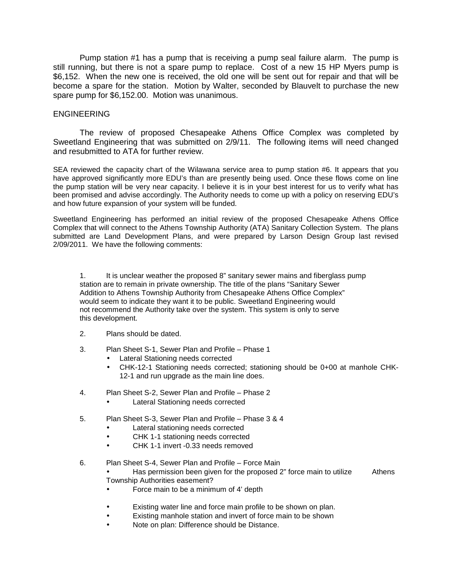Pump station #1 has a pump that is receiving a pump seal failure alarm. The pump is still running, but there is not a spare pump to replace. Cost of a new 15 HP Myers pump is \$6,152. When the new one is received, the old one will be sent out for repair and that will be become a spare for the station. Motion by Walter, seconded by Blauvelt to purchase the new spare pump for \$6,152.00. Motion was unanimous.

# ENGINEERING

 The review of proposed Chesapeake Athens Office Complex was completed by Sweetland Engineering that was submitted on 2/9/11. The following items will need changed and resubmitted to ATA for further review.

SEA reviewed the capacity chart of the Wilawana service area to pump station #6. It appears that you have approved significantly more EDU's than are presently being used. Once these flows come on line the pump station will be very near capacity. I believe it is in your best interest for us to verify what has been promised and advise accordingly. The Authority needs to come up with a policy on reserving EDU's and how future expansion of your system will be funded.

Sweetland Engineering has performed an initial review of the proposed Chesapeake Athens Office Complex that will connect to the Athens Township Authority (ATA) Sanitary Collection System. The plans submitted are Land Development Plans, and were prepared by Larson Design Group last revised 2/09/2011. We have the following comments:

 1. It is unclear weather the proposed 8" sanitary sewer mains and fiberglass pump station are to remain in private ownership. The title of the plans "Sanitary Sewer Addition to Athens Township Authority from Chesapeake Athens Office Complex" would seem to indicate they want it to be public. Sweetland Engineering would not recommend the Authority take over the system. This system is only to serve this development.

- 2. Plans should be dated.
- 3. Plan Sheet S-1, Sewer Plan and Profile Phase 1
	- Lateral Stationing needs corrected
	- CHK-12-1 Stationing needs corrected; stationing should be 0+00 at manhole CHK-12-1 and run upgrade as the main line does.
- 4. Plan Sheet S-2, Sewer Plan and Profile Phase 2
	- Lateral Stationing needs corrected
- 5. Plan Sheet S-3, Sewer Plan and Profile Phase 3 & 4
	- Lateral stationing needs corrected
	- CHK 1-1 stationing needs corrected
	- CHK 1-1 invert -0.33 needs removed
- 6. Plan Sheet S-4, Sewer Plan and Profile Force Main

• Has permission been given for the proposed 2" force main to utilize Athens Township Authorities easement?

- Force main to be a minimum of 4' depth
- Existing water line and force main profile to be shown on plan.
- Existing manhole station and invert of force main to be shown
- Note on plan: Difference should be Distance.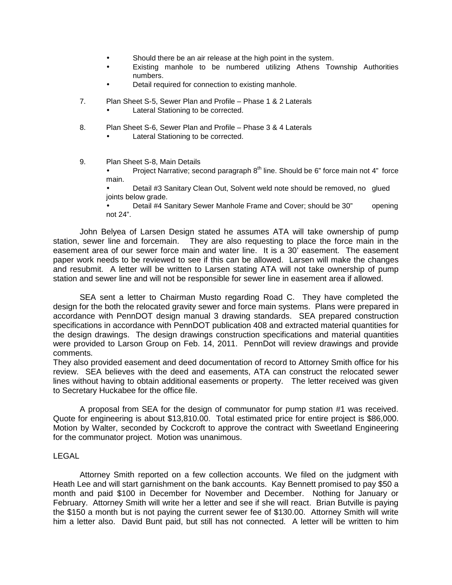- Should there be an air release at the high point in the system.
- Existing manhole to be numbered utilizing Athens Township Authorities numbers.
- Detail required for connection to existing manhole.
- 7. Plan Sheet S-5, Sewer Plan and Profile Phase 1 & 2 Laterals
	- Lateral Stationing to be corrected.
- 8. Plan Sheet S-6, Sewer Plan and Profile Phase 3 & 4 Laterals
	- Lateral Stationing to be corrected.
- 9. Plan Sheet S-8, Main Details

Project Narrative; second paragraph  $8<sup>th</sup>$  line. Should be 6" force main not 4" force main.

• Detail #3 Sanitary Clean Out, Solvent weld note should be removed, no glued joints below grade.

• Detail #4 Sanitary Sewer Manhole Frame and Cover; should be 30" opening not 24".

 John Belyea of Larsen Design stated he assumes ATA will take ownership of pump station, sewer line and forcemain. They are also requesting to place the force main in the easement area of our sewer force main and water line. It is a 30' easement. The easement paper work needs to be reviewed to see if this can be allowed. Larsen will make the changes and resubmit. A letter will be written to Larsen stating ATA will not take ownership of pump station and sewer line and will not be responsible for sewer line in easement area if allowed.

 SEA sent a letter to Chairman Musto regarding Road C. They have completed the design for the both the relocated gravity sewer and force main systems. Plans were prepared in accordance with PennDOT design manual 3 drawing standards. SEA prepared construction specifications in accordance with PennDOT publication 408 and extracted material quantities for the design drawings. The design drawings construction specifications and material quantities were provided to Larson Group on Feb. 14, 2011. PennDot will review drawings and provide comments.

They also provided easement and deed documentation of record to Attorney Smith office for his review. SEA believes with the deed and easements, ATA can construct the relocated sewer lines without having to obtain additional easements or property. The letter received was given to Secretary Huckabee for the office file.

 A proposal from SEA for the design of communator for pump station #1 was received. Quote for engineering is about \$13,810.00. Total estimated price for entire project is \$86,000. Motion by Walter, seconded by Cockcroft to approve the contract with Sweetland Engineering for the communator project. Motion was unanimous.

# LEGAL

 Attorney Smith reported on a few collection accounts. We filed on the judgment with Heath Lee and will start garnishment on the bank accounts. Kay Bennett promised to pay \$50 a month and paid \$100 in December for November and December. Nothing for January or February. Attorney Smith will write her a letter and see if she will react. Brian Butville is paying the \$150 a month but is not paying the current sewer fee of \$130.00. Attorney Smith will write him a letter also. David Bunt paid, but still has not connected. A letter will be written to him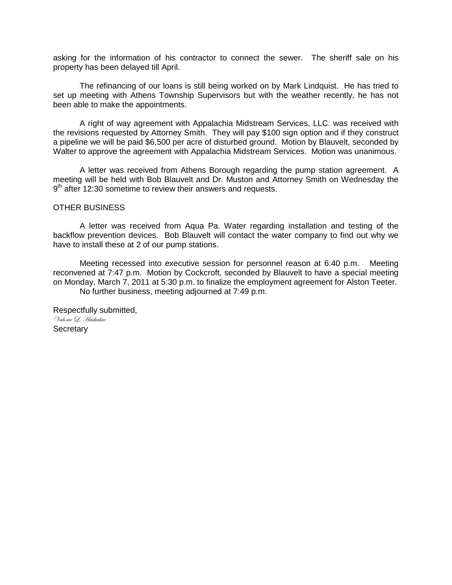asking for the information of his contractor to connect the sewer. The sheriff sale on his property has been delayed till April.

 The refinancing of our loans is still being worked on by Mark Lindquist. He has tried to set up meeting with Athens Township Supervisors but with the weather recently, he has not been able to make the appointments.

 A right of way agreement with Appalachia Midstream Services, LLC. was received with the revisions requested by Attorney Smith. They will pay \$100 sign option and if they construct a pipeline we will be paid \$6,500 per acre of disturbed ground. Motion by Blauvelt, seconded by Walter to approve the agreement with Appalachia Midstream Services. Motion was unanimous.

 A letter was received from Athens Borough regarding the pump station agreement. A meeting will be held with Bob Blauvelt and Dr. Muston and Attorney Smith on Wednesday the 9<sup>th</sup> after 12:30 sometime to review their answers and requests.

# OTHER BUSINESS

 A letter was received from Aqua Pa. Water regarding installation and testing of the backflow prevention devices. Bob Blauvelt will contact the water company to find out why we have to install these at 2 of our pump stations.

 Meeting recessed into executive session for personnel reason at 6:40 p.m. Meeting reconvened at 7:47 p.m. Motion by Cockcroft, seconded by Blauvelt to have a special meeting on Monday, March 7, 2011 at 5:30 p.m. to finalize the employment agreement for Alston Teeter. No further business, meeting adjourned at 7:49 p.m.

Respectfully submitted, Valorie L. Huckabee **Secretary**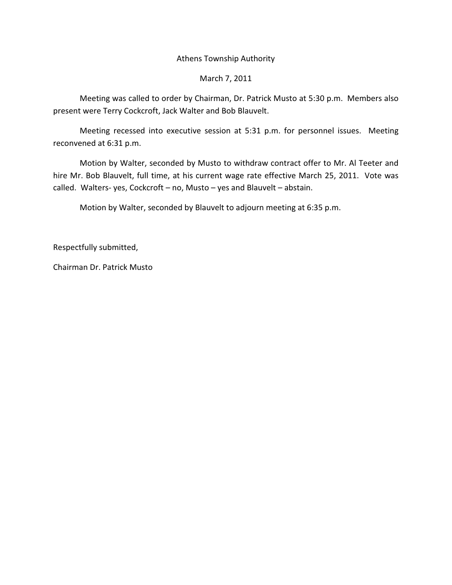# Athens Township Authority

# March 7, 2011

 Meeting was called to order by Chairman, Dr. Patrick Musto at 5:30 p.m. Members also present were Terry Cockcroft, Jack Walter and Bob Blauvelt.

 Meeting recessed into executive session at 5:31 p.m. for personnel issues. Meeting reconvened at 6:31 p.m.

 Motion by Walter, seconded by Musto to withdraw contract offer to Mr. Al Teeter and hire Mr. Bob Blauvelt, full time, at his current wage rate effective March 25, 2011. Vote was called. Walters- yes, Cockcroft – no, Musto – yes and Blauvelt – abstain.

Motion by Walter, seconded by Blauvelt to adjourn meeting at 6:35 p.m.

Respectfully submitted,

Chairman Dr. Patrick Musto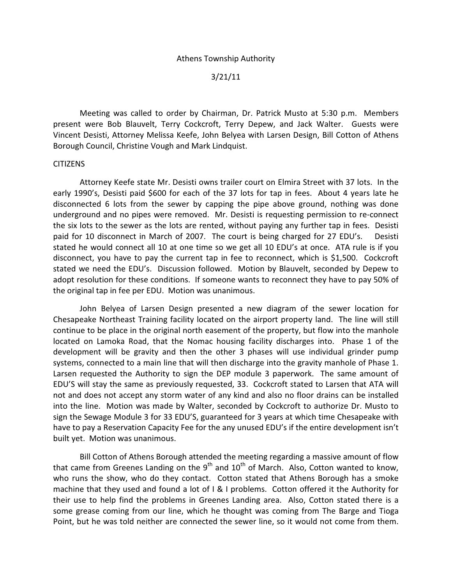# 3/21/11

 Meeting was called to order by Chairman, Dr. Patrick Musto at 5:30 p.m. Members present were Bob Blauvelt, Terry Cockcroft, Terry Depew, and Jack Walter. Guests were Vincent Desisti, Attorney Melissa Keefe, John Belyea with Larsen Design, Bill Cotton of Athens Borough Council, Christine Vough and Mark Lindquist.

# CITIZENS

 Attorney Keefe state Mr. Desisti owns trailer court on Elmira Street with 37 lots. In the early 1990's, Desisti paid \$600 for each of the 37 lots for tap in fees. About 4 years late he disconnected 6 lots from the sewer by capping the pipe above ground, nothing was done underground and no pipes were removed. Mr. Desisti is requesting permission to re-connect the six lots to the sewer as the lots are rented, without paying any further tap in fees. Desisti paid for 10 disconnect in March of 2007. The court is being charged for 27 EDU's. Desisti stated he would connect all 10 at one time so we get all 10 EDU's at once. ATA rule is if you disconnect, you have to pay the current tap in fee to reconnect, which is \$1,500. Cockcroft stated we need the EDU's. Discussion followed. Motion by Blauvelt, seconded by Depew to adopt resolution for these conditions. If someone wants to reconnect they have to pay 50% of the original tap in fee per EDU. Motion was unanimous.

 John Belyea of Larsen Design presented a new diagram of the sewer location for Chesapeake Northeast Training facility located on the airport property land. The line will still continue to be place in the original north easement of the property, but flow into the manhole located on Lamoka Road, that the Nomac housing facility discharges into. Phase 1 of the development will be gravity and then the other 3 phases will use individual grinder pump systems, connected to a main line that will then discharge into the gravity manhole of Phase 1. Larsen requested the Authority to sign the DEP module 3 paperwork. The same amount of EDU'S will stay the same as previously requested, 33. Cockcroft stated to Larsen that ATA will not and does not accept any storm water of any kind and also no floor drains can be installed into the line. Motion was made by Walter, seconded by Cockcroft to authorize Dr. Musto to sign the Sewage Module 3 for 33 EDU'S, guaranteed for 3 years at which time Chesapeake with have to pay a Reservation Capacity Fee for the any unused EDU's if the entire development isn't built yet. Motion was unanimous.

 Bill Cotton of Athens Borough attended the meeting regarding a massive amount of flow that came from Greenes Landing on the  $9<sup>th</sup>$  and  $10<sup>th</sup>$  of March. Also, Cotton wanted to know, who runs the show, who do they contact. Cotton stated that Athens Borough has a smoke machine that they used and found a lot of I & I problems. Cotton offered it the Authority for their use to help find the problems in Greenes Landing area. Also, Cotton stated there is a some grease coming from our line, which he thought was coming from The Barge and Tioga Point, but he was told neither are connected the sewer line, so it would not come from them.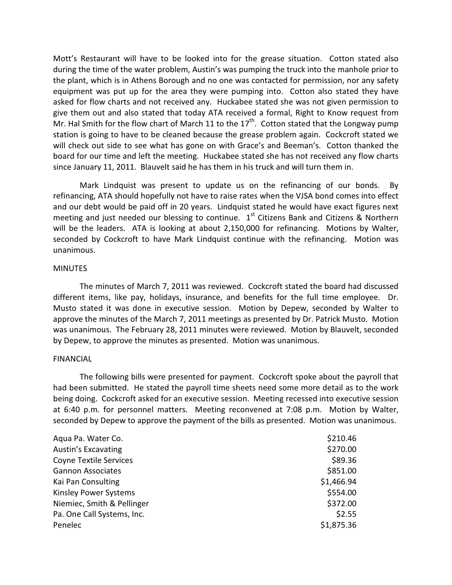Mott's Restaurant will have to be looked into for the grease situation. Cotton stated also during the time of the water problem, Austin's was pumping the truck into the manhole prior to the plant, which is in Athens Borough and no one was contacted for permission, nor any safety equipment was put up for the area they were pumping into. Cotton also stated they have asked for flow charts and not received any. Huckabee stated she was not given permission to give them out and also stated that today ATA received a formal, Right to Know request from Mr. Hal Smith for the flow chart of March 11 to the  $17<sup>th</sup>$ . Cotton stated that the Longway pump station is going to have to be cleaned because the grease problem again. Cockcroft stated we will check out side to see what has gone on with Grace's and Beeman's. Cotton thanked the board for our time and left the meeting. Huckabee stated she has not received any flow charts since January 11, 2011. Blauvelt said he has them in his truck and will turn them in.

 Mark Lindquist was present to update us on the refinancing of our bonds. By refinancing, ATA should hopefully not have to raise rates when the VJSA bond comes into effect and our debt would be paid off in 20 years. Lindquist stated he would have exact figures next meeting and just needed our blessing to continue.  $1<sup>st</sup>$  Citizens Bank and Citizens & Northern will be the leaders. ATA is looking at about 2,150,000 for refinancing. Motions by Walter, seconded by Cockcroft to have Mark Lindquist continue with the refinancing. Motion was unanimous.

# **MINUTES**

 The minutes of March 7, 2011 was reviewed. Cockcroft stated the board had discussed different items, like pay, holidays, insurance, and benefits for the full time employee. Dr. Musto stated it was done in executive session. Motion by Depew, seconded by Walter to approve the minutes of the March 7, 2011 meetings as presented by Dr. Patrick Musto. Motion was unanimous. The February 28, 2011 minutes were reviewed. Motion by Blauvelt, seconded by Depew, to approve the minutes as presented. Motion was unanimous.

#### FINANCIAL

 The following bills were presented for payment. Cockcroft spoke about the payroll that had been submitted. He stated the payroll time sheets need some more detail as to the work being doing. Cockcroft asked for an executive session. Meeting recessed into executive session at 6:40 p.m. for personnel matters. Meeting reconvened at 7:08 p.m. Motion by Walter, seconded by Depew to approve the payment of the bills as presented. Motion was unanimous.

| Aqua Pa. Water Co.            | \$210.46   |
|-------------------------------|------------|
| <b>Austin's Excavating</b>    | \$270.00   |
| <b>Coyne Textile Services</b> | \$89.36    |
| <b>Gannon Associates</b>      | \$851.00   |
| Kai Pan Consulting            | \$1,466.94 |
| <b>Kinsley Power Systems</b>  | \$554.00   |
| Niemiec, Smith & Pellinger    | \$372.00   |
| Pa. One Call Systems, Inc.    | \$2.55     |
| Penelec                       | \$1,875.36 |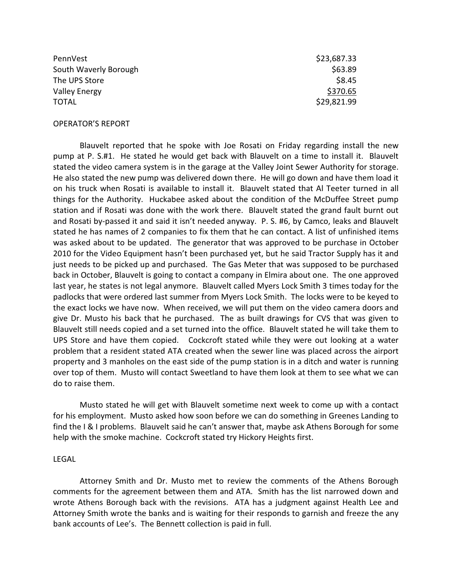| PennVest              | \$23,687.33 |
|-----------------------|-------------|
| South Waverly Borough | \$63.89     |
| The UPS Store         | \$8.45      |
| <b>Valley Energy</b>  | \$370.65    |
| <b>TOTAL</b>          | \$29,821.99 |

#### OPERATOR'S REPORT

 Blauvelt reported that he spoke with Joe Rosati on Friday regarding install the new pump at P. S.#1. He stated he would get back with Blauvelt on a time to install it. Blauvelt stated the video camera system is in the garage at the Valley Joint Sewer Authority for storage. He also stated the new pump was delivered down there. He will go down and have them load it on his truck when Rosati is available to install it. Blauvelt stated that Al Teeter turned in all things for the Authority. Huckabee asked about the condition of the McDuffee Street pump station and if Rosati was done with the work there. Blauvelt stated the grand fault burnt out and Rosati by-passed it and said it isn't needed anyway. P. S. #6, by Camco, leaks and Blauvelt stated he has names of 2 companies to fix them that he can contact. A list of unfinished items was asked about to be updated. The generator that was approved to be purchase in October 2010 for the Video Equipment hasn't been purchased yet, but he said Tractor Supply has it and just needs to be picked up and purchased. The Gas Meter that was supposed to be purchased back in October, Blauvelt is going to contact a company in Elmira about one. The one approved last year, he states is not legal anymore. Blauvelt called Myers Lock Smith 3 times today for the padlocks that were ordered last summer from Myers Lock Smith. The locks were to be keyed to the exact locks we have now. When received, we will put them on the video camera doors and give Dr. Musto his back that he purchased. The as built drawings for CVS that was given to Blauvelt still needs copied and a set turned into the office. Blauvelt stated he will take them to UPS Store and have them copied. Cockcroft stated while they were out looking at a water problem that a resident stated ATA created when the sewer line was placed across the airport property and 3 manholes on the east side of the pump station is in a ditch and water is running over top of them. Musto will contact Sweetland to have them look at them to see what we can do to raise them.

 Musto stated he will get with Blauvelt sometime next week to come up with a contact for his employment. Musto asked how soon before we can do something in Greenes Landing to find the I & I problems. Blauvelt said he can't answer that, maybe ask Athens Borough for some help with the smoke machine. Cockcroft stated try Hickory Heights first.

#### LEGAL

 Attorney Smith and Dr. Musto met to review the comments of the Athens Borough comments for the agreement between them and ATA. Smith has the list narrowed down and wrote Athens Borough back with the revisions. ATA has a judgment against Health Lee and Attorney Smith wrote the banks and is waiting for their responds to garnish and freeze the any bank accounts of Lee's. The Bennett collection is paid in full.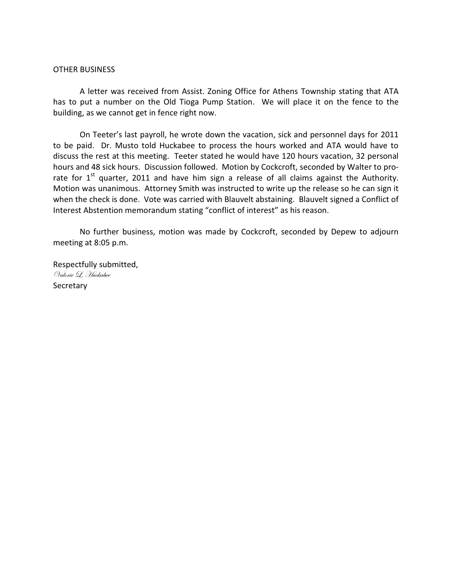# OTHER BUSINESS

 A letter was received from Assist. Zoning Office for Athens Township stating that ATA has to put a number on the Old Tioga Pump Station. We will place it on the fence to the building, as we cannot get in fence right now.

 On Teeter's last payroll, he wrote down the vacation, sick and personnel days for 2011 to be paid. Dr. Musto told Huckabee to process the hours worked and ATA would have to discuss the rest at this meeting. Teeter stated he would have 120 hours vacation, 32 personal hours and 48 sick hours. Discussion followed. Motion by Cockcroft, seconded by Walter to prorate for  $1<sup>st</sup>$  quarter, 2011 and have him sign a release of all claims against the Authority. Motion was unanimous. Attorney Smith was instructed to write up the release so he can sign it when the check is done. Vote was carried with Blauvelt abstaining. Blauvelt signed a Conflict of Interest Abstention memorandum stating "conflict of interest" as his reason.

 No further business, motion was made by Cockcroft, seconded by Depew to adjourn meeting at 8:05 p.m.

Respectfully submitted, Valorie L. Huckabee **Secretary**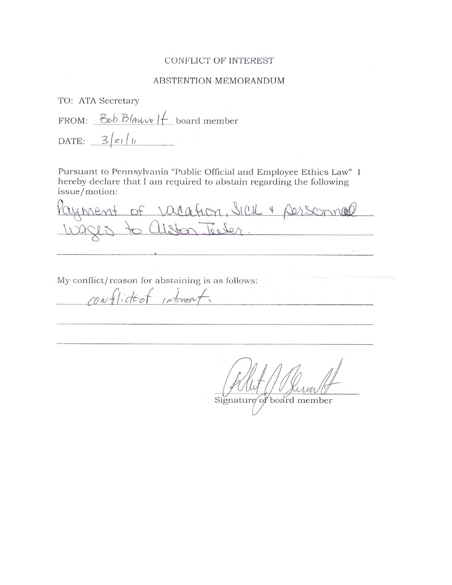# CONFLICT OF INTEREST

#### ABSTENTION MEMORANDUM

TO: ATA Secretary

FROM:  $B_{\epsilon}bB$  *Auve*  $H$  board member DATE:  $3/z_1/u$ 

Pursuant to Pennsylvania "Public Official and Employee Ethics Law" I hereby declare that I am required to abstain regarding the following issue/motion:

ayment of Jacation, Sicil + personnel

My conflict/reason for abstaining is as follows:

rowflicted interest.

Signature of board member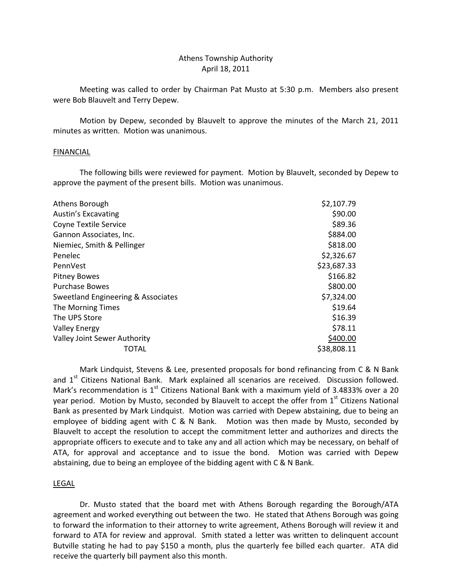# Athens Township Authority April 18, 2011

 Meeting was called to order by Chairman Pat Musto at 5:30 p.m. Members also present were Bob Blauvelt and Terry Depew.

 Motion by Depew, seconded by Blauvelt to approve the minutes of the March 21, 2011 minutes as written. Motion was unanimous.

## FINANCIAL

 The following bills were reviewed for payment. Motion by Blauvelt, seconded by Depew to approve the payment of the present bills. Motion was unanimous.

| Athens Borough                     | \$2,107.79  |
|------------------------------------|-------------|
| <b>Austin's Excavating</b>         | \$90.00     |
| <b>Coyne Textile Service</b>       | \$89.36     |
| Gannon Associates, Inc.            | \$884.00    |
| Niemiec, Smith & Pellinger         | \$818.00    |
| Penelec                            | \$2,326.67  |
| PennVest                           | \$23,687.33 |
| <b>Pitney Bowes</b>                | \$166.82    |
| <b>Purchase Bowes</b>              | \$800.00    |
| Sweetland Engineering & Associates | \$7,324.00  |
| The Morning Times                  | \$19.64     |
| The UPS Store                      | \$16.39     |
| <b>Valley Energy</b>               | \$78.11     |
| Valley Joint Sewer Authority       | \$400.00    |
| TOTAL                              | \$38,808.11 |
|                                    |             |

 Mark Lindquist, Stevens & Lee, presented proposals for bond refinancing from C & N Bank and 1<sup>st</sup> Citizens National Bank. Mark explained all scenarios are received. Discussion followed. Mark's recommendation is  $1<sup>st</sup>$  Citizens National Bank with a maximum yield of 3.4833% over a 20 year period. Motion by Musto, seconded by Blauvelt to accept the offer from 1<sup>st</sup> Citizens National Bank as presented by Mark Lindquist. Motion was carried with Depew abstaining, due to being an employee of bidding agent with C & N Bank. Motion was then made by Musto, seconded by Blauvelt to accept the resolution to accept the commitment letter and authorizes and directs the appropriate officers to execute and to take any and all action which may be necessary, on behalf of ATA, for approval and acceptance and to issue the bond. Motion was carried with Depew abstaining, due to being an employee of the bidding agent with C & N Bank.

#### LEGAL

 Dr. Musto stated that the board met with Athens Borough regarding the Borough/ATA agreement and worked everything out between the two. He stated that Athens Borough was going to forward the information to their attorney to write agreement, Athens Borough will review it and forward to ATA for review and approval. Smith stated a letter was written to delinquent account Butville stating he had to pay \$150 a month, plus the quarterly fee billed each quarter. ATA did receive the quarterly bill payment also this month.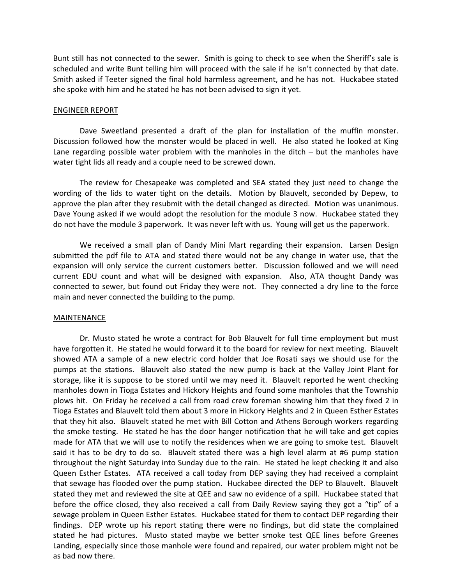Bunt still has not connected to the sewer. Smith is going to check to see when the Sheriff's sale is scheduled and write Bunt telling him will proceed with the sale if he isn't connected by that date. Smith asked if Teeter signed the final hold harmless agreement, and he has not. Huckabee stated she spoke with him and he stated he has not been advised to sign it yet.

#### ENGINEER REPORT

 Dave Sweetland presented a draft of the plan for installation of the muffin monster. Discussion followed how the monster would be placed in well. He also stated he looked at King Lane regarding possible water problem with the manholes in the ditch – but the manholes have water tight lids all ready and a couple need to be screwed down.

 The review for Chesapeake was completed and SEA stated they just need to change the wording of the lids to water tight on the details. Motion by Blauvelt, seconded by Depew, to approve the plan after they resubmit with the detail changed as directed. Motion was unanimous. Dave Young asked if we would adopt the resolution for the module 3 now. Huckabee stated they do not have the module 3 paperwork. It was never left with us. Young will get us the paperwork.

 We received a small plan of Dandy Mini Mart regarding their expansion. Larsen Design submitted the pdf file to ATA and stated there would not be any change in water use, that the expansion will only service the current customers better. Discussion followed and we will need current EDU count and what will be designed with expansion. Also, ATA thought Dandy was connected to sewer, but found out Friday they were not. They connected a dry line to the force main and never connected the building to the pump.

#### MAINTENANCE

 Dr. Musto stated he wrote a contract for Bob Blauvelt for full time employment but must have forgotten it. He stated he would forward it to the board for review for next meeting. Blauvelt showed ATA a sample of a new electric cord holder that Joe Rosati says we should use for the pumps at the stations. Blauvelt also stated the new pump is back at the Valley Joint Plant for storage, like it is suppose to be stored until we may need it. Blauvelt reported he went checking manholes down in Tioga Estates and Hickory Heights and found some manholes that the Township plows hit. On Friday he received a call from road crew foreman showing him that they fixed 2 in Tioga Estates and Blauvelt told them about 3 more in Hickory Heights and 2 in Queen Esther Estates that they hit also. Blauvelt stated he met with Bill Cotton and Athens Borough workers regarding the smoke testing. He stated he has the door hanger notification that he will take and get copies made for ATA that we will use to notify the residences when we are going to smoke test. Blauvelt said it has to be dry to do so. Blauvelt stated there was a high level alarm at #6 pump station throughout the night Saturday into Sunday due to the rain. He stated he kept checking it and also Queen Esther Estates. ATA received a call today from DEP saying they had received a complaint that sewage has flooded over the pump station. Huckabee directed the DEP to Blauvelt. Blauvelt stated they met and reviewed the site at QEE and saw no evidence of a spill. Huckabee stated that before the office closed, they also received a call from Daily Review saying they got a "tip" of a sewage problem in Queen Esther Estates. Huckabee stated for them to contact DEP regarding their findings. DEP wrote up his report stating there were no findings, but did state the complained stated he had pictures. Musto stated maybe we better smoke test QEE lines before Greenes Landing, especially since those manhole were found and repaired, our water problem might not be as bad now there.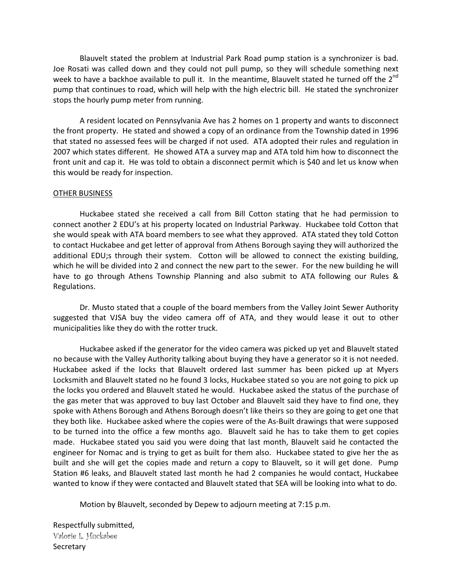Blauvelt stated the problem at Industrial Park Road pump station is a synchronizer is bad. Joe Rosati was called down and they could not pull pump, so they will schedule something next week to have a backhoe available to pull it. In the meantime, Blauvelt stated he turned off the 2<sup>nd</sup> pump that continues to road, which will help with the high electric bill. He stated the synchronizer stops the hourly pump meter from running.

 A resident located on Pennsylvania Ave has 2 homes on 1 property and wants to disconnect the front property. He stated and showed a copy of an ordinance from the Township dated in 1996 that stated no assessed fees will be charged if not used. ATA adopted their rules and regulation in 2007 which states different. He showed ATA a survey map and ATA told him how to disconnect the front unit and cap it. He was told to obtain a disconnect permit which is \$40 and let us know when this would be ready for inspection.

## OTHER BUSINESS

 Huckabee stated she received a call from Bill Cotton stating that he had permission to connect another 2 EDU's at his property located on Industrial Parkway. Huckabee told Cotton that she would speak with ATA board members to see what they approved. ATA stated they told Cotton to contact Huckabee and get letter of approval from Athens Borough saying they will authorized the additional EDU;s through their system. Cotton will be allowed to connect the existing building, which he will be divided into 2 and connect the new part to the sewer. For the new building he will have to go through Athens Township Planning and also submit to ATA following our Rules & Regulations.

 Dr. Musto stated that a couple of the board members from the Valley Joint Sewer Authority suggested that VJSA buy the video camera off of ATA, and they would lease it out to other municipalities like they do with the rotter truck.

 Huckabee asked if the generator for the video camera was picked up yet and Blauvelt stated no because with the Valley Authority talking about buying they have a generator so it is not needed. Huckabee asked if the locks that Blauvelt ordered last summer has been picked up at Myers Locksmith and Blauvelt stated no he found 3 locks, Huckabee stated so you are not going to pick up the locks you ordered and Blauvelt stated he would. Huckabee asked the status of the purchase of the gas meter that was approved to buy last October and Blauvelt said they have to find one, they spoke with Athens Borough and Athens Borough doesn't like theirs so they are going to get one that they both like. Huckabee asked where the copies were of the As-Built drawings that were supposed to be turned into the office a few months ago. Blauvelt said he has to take them to get copies made. Huckabee stated you said you were doing that last month, Blauvelt said he contacted the engineer for Nomac and is trying to get as built for them also. Huckabee stated to give her the as built and she will get the copies made and return a copy to Blauvelt, so it will get done. Pump Station #6 leaks, and Blauvelt stated last month he had 2 companies he would contact, Huckabee wanted to know if they were contacted and Blauvelt stated that SEA will be looking into what to do.

Motion by Blauvelt, seconded by Depew to adjourn meeting at 7:15 p.m.

Respectfully submitted, Valorie L. Huckabee **Secretary**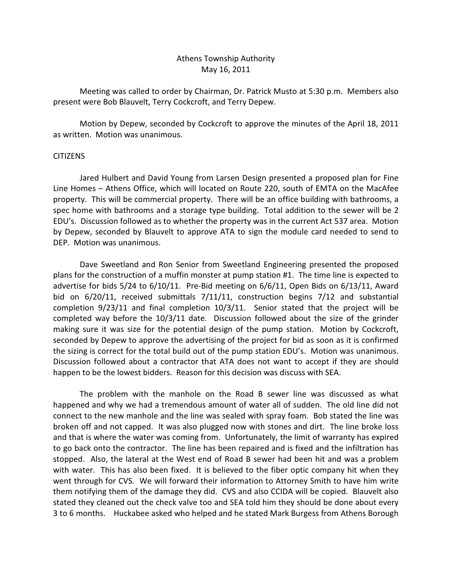# Athens Township Authority May 16, 2011

 Meeting was called to order by Chairman, Dr. Patrick Musto at 5:30 p.m. Members also present were Bob Blauvelt, Terry Cockcroft, and Terry Depew.

 Motion by Depew, seconded by Cockcroft to approve the minutes of the April 18, 2011 as written. Motion was unanimous.

# CITIZENS

 Jared Hulbert and David Young from Larsen Design presented a proposed plan for Fine Line Homes – Athens Office, which will located on Route 220, south of EMTA on the MacAfee property. This will be commercial property. There will be an office building with bathrooms, a spec home with bathrooms and a storage type building. Total addition to the sewer will be 2 EDU's. Discussion followed as to whether the property was in the current Act 537 area. Motion by Depew, seconded by Blauvelt to approve ATA to sign the module card needed to send to DEP. Motion was unanimous.

 Dave Sweetland and Ron Senior from Sweetland Engineering presented the proposed plans for the construction of a muffin monster at pump station #1. The time line is expected to advertise for bids 5/24 to 6/10/11. Pre-Bid meeting on 6/6/11, Open Bids on 6/13/11, Award bid on 6/20/11, received submittals 7/11/11, construction begins 7/12 and substantial completion 9/23/11 and final completion 10/3/11. Senior stated that the project will be completed way before the 10/3/11 date. Discussion followed about the size of the grinder making sure it was size for the potential design of the pump station. Motion by Cockcroft, seconded by Depew to approve the advertising of the project for bid as soon as it is confirmed the sizing is correct for the total build out of the pump station EDU's. Motion was unanimous. Discussion followed about a contractor that ATA does not want to accept if they are should happen to be the lowest bidders. Reason for this decision was discuss with SEA.

 The problem with the manhole on the Road B sewer line was discussed as what happened and why we had a tremendous amount of water all of sudden. The old line did not connect to the new manhole and the line was sealed with spray foam. Bob stated the line was broken off and not capped. It was also plugged now with stones and dirt. The line broke loss and that is where the water was coming from. Unfortunately, the limit of warranty has expired to go back onto the contractor. The line has been repaired and is fixed and the infiltration has stopped. Also, the lateral at the West end of Road B sewer had been hit and was a problem with water. This has also been fixed. It is believed to the fiber optic company hit when they went through for CVS. We will forward their information to Attorney Smith to have him write them notifying them of the damage they did. CVS and also CCIDA will be copied. Blauvelt also stated they cleaned out the check valve too and SEA told him they should be done about every 3 to 6 months. Huckabee asked who helped and he stated Mark Burgess from Athens Borough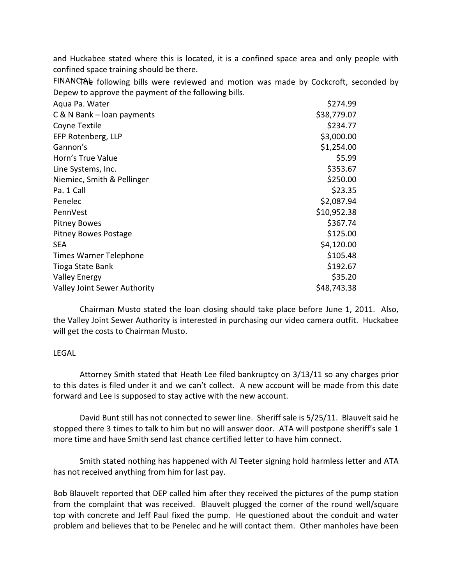and Huckabee stated where this is located, it is a confined space area and only people with confined space training should be there.

FINANCTAL following bills were reviewed and motion was made by Cockcroft, seconded by Depew to approve the payment of the following bills.

| Aqua Pa. Water                      | \$274.99    |
|-------------------------------------|-------------|
| C & N Bank - loan payments          | \$38,779.07 |
| Coyne Textile                       | \$234.77    |
| EFP Rotenberg, LLP                  | \$3,000.00  |
| Gannon's                            | \$1,254.00  |
| Horn's True Value                   | \$5.99      |
| Line Systems, Inc.                  | \$353.67    |
| Niemiec, Smith & Pellinger          | \$250.00    |
| Pa. 1 Call                          | \$23.35     |
| Penelec                             | \$2,087.94  |
| PennVest                            | \$10,952.38 |
| <b>Pitney Bowes</b>                 | \$367.74    |
| <b>Pitney Bowes Postage</b>         | \$125.00    |
| <b>SEA</b>                          | \$4,120.00  |
| Times Warner Telephone              | \$105.48    |
| Tioga State Bank                    | \$192.67    |
| <b>Valley Energy</b>                | \$35.20     |
| <b>Valley Joint Sewer Authority</b> | \$48,743.38 |

 Chairman Musto stated the loan closing should take place before June 1, 2011. Also, the Valley Joint Sewer Authority is interested in purchasing our video camera outfit. Huckabee will get the costs to Chairman Musto.

# LEGAL

 Attorney Smith stated that Heath Lee filed bankruptcy on 3/13/11 so any charges prior to this dates is filed under it and we can't collect. A new account will be made from this date forward and Lee is supposed to stay active with the new account.

 David Bunt still has not connected to sewer line. Sheriff sale is 5/25/11. Blauvelt said he stopped there 3 times to talk to him but no will answer door. ATA will postpone sheriff's sale 1 more time and have Smith send last chance certified letter to have him connect.

 Smith stated nothing has happened with Al Teeter signing hold harmless letter and ATA has not received anything from him for last pay.

Bob Blauvelt reported that DEP called him after they received the pictures of the pump station from the complaint that was received. Blauvelt plugged the corner of the round well/square top with concrete and Jeff Paul fixed the pump. He questioned about the conduit and water problem and believes that to be Penelec and he will contact them. Other manholes have been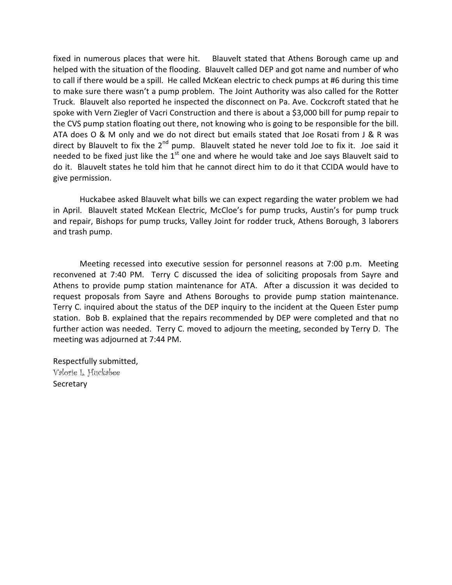fixed in numerous places that were hit. Blauvelt stated that Athens Borough came up and helped with the situation of the flooding. Blauvelt called DEP and got name and number of who to call if there would be a spill. He called McKean electric to check pumps at #6 during this time to make sure there wasn't a pump problem. The Joint Authority was also called for the Rotter Truck. Blauvelt also reported he inspected the disconnect on Pa. Ave. Cockcroft stated that he spoke with Vern Ziegler of Vacri Construction and there is about a \$3,000 bill for pump repair to the CVS pump station floating out there, not knowing who is going to be responsible for the bill. ATA does O & M only and we do not direct but emails stated that Joe Rosati from J & R was direct by Blauvelt to fix the  $2^{nd}$  pump. Blauvelt stated he never told Joe to fix it. Joe said it needed to be fixed just like the  $1<sup>st</sup>$  one and where he would take and Joe says Blauvelt said to do it. Blauvelt states he told him that he cannot direct him to do it that CCIDA would have to give permission.

 Huckabee asked Blauvelt what bills we can expect regarding the water problem we had in April. Blauvelt stated McKean Electric, McCloe's for pump trucks, Austin's for pump truck and repair, Bishops for pump trucks, Valley Joint for rodder truck, Athens Borough, 3 laborers and trash pump.

 Meeting recessed into executive session for personnel reasons at 7:00 p.m. Meeting reconvened at 7:40 PM. Terry C discussed the idea of soliciting proposals from Sayre and Athens to provide pump station maintenance for ATA. After a discussion it was decided to request proposals from Sayre and Athens Boroughs to provide pump station maintenance. Terry C. inquired about the status of the DEP inquiry to the incident at the Queen Ester pump station. Bob B. explained that the repairs recommended by DEP were completed and that no further action was needed. Terry C. moved to adjourn the meeting, seconded by Terry D. The meeting was adjourned at 7:44 PM.

Respectfully submitted, Valorie L. Huckabee Secretary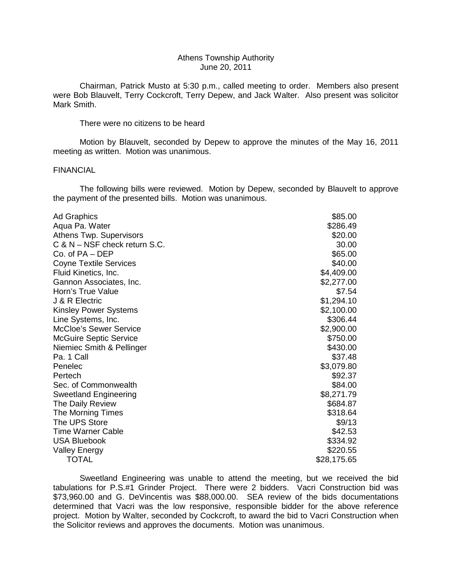#### Athens Township Authority June 20, 2011

 Chairman, Patrick Musto at 5:30 p.m., called meeting to order. Members also present were Bob Blauvelt, Terry Cockcroft, Terry Depew, and Jack Walter. Also present was solicitor Mark Smith.

There were no citizens to be heard

 Motion by Blauvelt, seconded by Depew to approve the minutes of the May 16, 2011 meeting as written. Motion was unanimous.

#### FINANCIAL

 The following bills were reviewed. Motion by Depew, seconded by Blauvelt to approve the payment of the presented bills. Motion was unanimous.

| \$85.00<br>Ad Graphics<br>\$286.49<br>Aqua Pa. Water<br>Athens Twp. Supervisors<br>\$20.00<br>$C$ & N $-$ NSF check return S.C.<br>30.00<br>Co. of PA – DEP<br>\$65.00<br><b>Coyne Textile Services</b><br>\$40.00<br>Fluid Kinetics, Inc.<br>\$4,409.00<br>\$2,277.00<br>Gannon Associates, Inc.<br>Horn's True Value<br>\$7.54<br>J & R Electric<br>\$1,294.10<br>Kinsley Power Systems<br>\$2,100.00<br>\$306.44<br>Line Systems, Inc.<br><b>McCloe's Sewer Service</b><br>\$2,900.00<br><b>McGuire Septic Service</b><br>\$750.00<br>\$430.00<br>Niemiec Smith & Pellinger |
|--------------------------------------------------------------------------------------------------------------------------------------------------------------------------------------------------------------------------------------------------------------------------------------------------------------------------------------------------------------------------------------------------------------------------------------------------------------------------------------------------------------------------------------------------------------------------------|
|                                                                                                                                                                                                                                                                                                                                                                                                                                                                                                                                                                                |
|                                                                                                                                                                                                                                                                                                                                                                                                                                                                                                                                                                                |
|                                                                                                                                                                                                                                                                                                                                                                                                                                                                                                                                                                                |
|                                                                                                                                                                                                                                                                                                                                                                                                                                                                                                                                                                                |
|                                                                                                                                                                                                                                                                                                                                                                                                                                                                                                                                                                                |
|                                                                                                                                                                                                                                                                                                                                                                                                                                                                                                                                                                                |
|                                                                                                                                                                                                                                                                                                                                                                                                                                                                                                                                                                                |
|                                                                                                                                                                                                                                                                                                                                                                                                                                                                                                                                                                                |
|                                                                                                                                                                                                                                                                                                                                                                                                                                                                                                                                                                                |
|                                                                                                                                                                                                                                                                                                                                                                                                                                                                                                                                                                                |
|                                                                                                                                                                                                                                                                                                                                                                                                                                                                                                                                                                                |
|                                                                                                                                                                                                                                                                                                                                                                                                                                                                                                                                                                                |
|                                                                                                                                                                                                                                                                                                                                                                                                                                                                                                                                                                                |
|                                                                                                                                                                                                                                                                                                                                                                                                                                                                                                                                                                                |
|                                                                                                                                                                                                                                                                                                                                                                                                                                                                                                                                                                                |
| \$37.48<br>Pa. 1 Call                                                                                                                                                                                                                                                                                                                                                                                                                                                                                                                                                          |
| \$3,079.80<br>Penelec                                                                                                                                                                                                                                                                                                                                                                                                                                                                                                                                                          |
| Pertech<br>\$92.37                                                                                                                                                                                                                                                                                                                                                                                                                                                                                                                                                             |
| Sec. of Commonwealth<br>\$84.00                                                                                                                                                                                                                                                                                                                                                                                                                                                                                                                                                |
| \$8,271.79<br><b>Sweetland Engineering</b>                                                                                                                                                                                                                                                                                                                                                                                                                                                                                                                                     |
| \$684.87<br>The Daily Review                                                                                                                                                                                                                                                                                                                                                                                                                                                                                                                                                   |
| \$318.64<br>The Morning Times                                                                                                                                                                                                                                                                                                                                                                                                                                                                                                                                                  |
| The UPS Store<br>\$9/13                                                                                                                                                                                                                                                                                                                                                                                                                                                                                                                                                        |
| <b>Time Warner Cable</b><br>\$42.53                                                                                                                                                                                                                                                                                                                                                                                                                                                                                                                                            |
| <b>USA Bluebook</b><br>\$334.92                                                                                                                                                                                                                                                                                                                                                                                                                                                                                                                                                |
| \$220.55<br><b>Valley Energy</b>                                                                                                                                                                                                                                                                                                                                                                                                                                                                                                                                               |
| <b>TOTAL</b><br>\$28,175.65                                                                                                                                                                                                                                                                                                                                                                                                                                                                                                                                                    |

 Sweetland Engineering was unable to attend the meeting, but we received the bid tabulations for P.S.#1 Grinder Project. There were 2 bidders. Vacri Construction bid was \$73,960.00 and G. DeVincentis was \$88,000.00. SEA review of the bids documentations determined that Vacri was the low responsive, responsible bidder for the above reference project. Motion by Walter, seconded by Cockcroft, to award the bid to Vacri Construction when the Solicitor reviews and approves the documents. Motion was unanimous.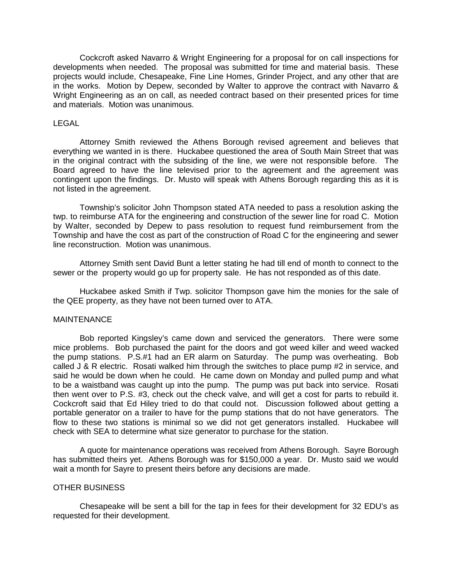Cockcroft asked Navarro & Wright Engineering for a proposal for on call inspections for developments when needed. The proposal was submitted for time and material basis. These projects would include, Chesapeake, Fine Line Homes, Grinder Project, and any other that are in the works. Motion by Depew, seconded by Walter to approve the contract with Navarro & Wright Engineering as an on call, as needed contract based on their presented prices for time and materials. Motion was unanimous.

## LEGAL

 Attorney Smith reviewed the Athens Borough revised agreement and believes that everything we wanted in is there. Huckabee questioned the area of South Main Street that was in the original contract with the subsiding of the line, we were not responsible before. The Board agreed to have the line televised prior to the agreement and the agreement was contingent upon the findings. Dr. Musto will speak with Athens Borough regarding this as it is not listed in the agreement.

 Township's solicitor John Thompson stated ATA needed to pass a resolution asking the twp. to reimburse ATA for the engineering and construction of the sewer line for road C. Motion by Walter, seconded by Depew to pass resolution to request fund reimbursement from the Township and have the cost as part of the construction of Road C for the engineering and sewer line reconstruction. Motion was unanimous.

 Attorney Smith sent David Bunt a letter stating he had till end of month to connect to the sewer or the property would go up for property sale. He has not responded as of this date.

 Huckabee asked Smith if Twp. solicitor Thompson gave him the monies for the sale of the QEE property, as they have not been turned over to ATA.

#### **MAINTENANCE**

 Bob reported Kingsley's came down and serviced the generators. There were some mice problems. Bob purchased the paint for the doors and got weed killer and weed wacked the pump stations. P.S.#1 had an ER alarm on Saturday. The pump was overheating. Bob called J & R electric. Rosati walked him through the switches to place pump #2 in service, and said he would be down when he could. He came down on Monday and pulled pump and what to be a waistband was caught up into the pump. The pump was put back into service. Rosati then went over to P.S. #3, check out the check valve, and will get a cost for parts to rebuild it. Cockcroft said that Ed Hiley tried to do that could not. Discussion followed about getting a portable generator on a trailer to have for the pump stations that do not have generators. The flow to these two stations is minimal so we did not get generators installed. Huckabee will check with SEA to determine what size generator to purchase for the station.

 A quote for maintenance operations was received from Athens Borough. Sayre Borough has submitted theirs yet. Athens Borough was for \$150,000 a year. Dr. Musto said we would wait a month for Sayre to present theirs before any decisions are made.

#### OTHER BUSINESS

 Chesapeake will be sent a bill for the tap in fees for their development for 32 EDU's as requested for their development.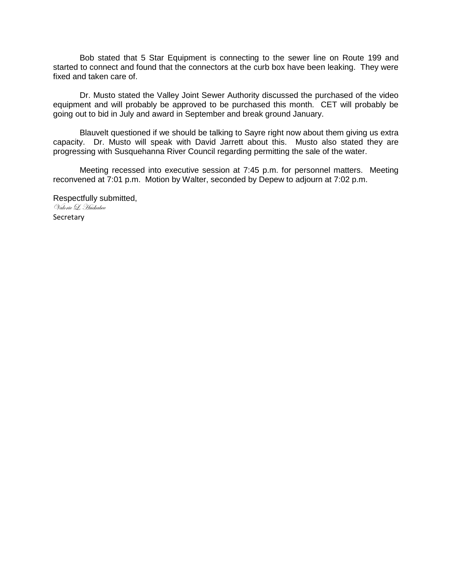Bob stated that 5 Star Equipment is connecting to the sewer line on Route 199 and started to connect and found that the connectors at the curb box have been leaking. They were fixed and taken care of.

 Dr. Musto stated the Valley Joint Sewer Authority discussed the purchased of the video equipment and will probably be approved to be purchased this month. CET will probably be going out to bid in July and award in September and break ground January.

 Blauvelt questioned if we should be talking to Sayre right now about them giving us extra capacity. Dr. Musto will speak with David Jarrett about this. Musto also stated they are progressing with Susquehanna River Council regarding permitting the sale of the water.

 Meeting recessed into executive session at 7:45 p.m. for personnel matters. Meeting reconvened at 7:01 p.m. Motion by Walter, seconded by Depew to adjourn at 7:02 p.m.

Respectfully submitted, Valorie L. Huckabee

Secretary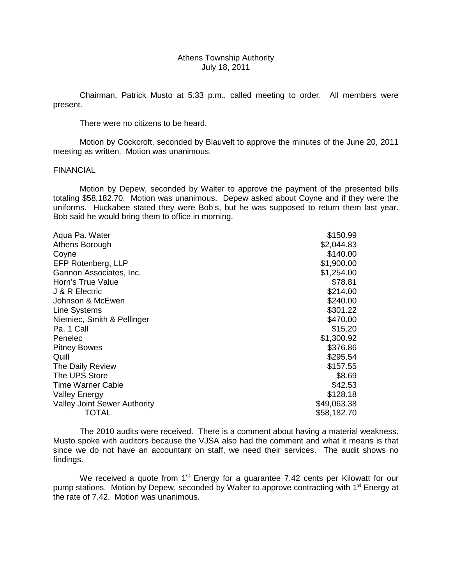## Athens Township Authority July 18, 2011

 Chairman, Patrick Musto at 5:33 p.m., called meeting to order. All members were present.

There were no citizens to be heard.

 Motion by Cockcroft, seconded by Blauvelt to approve the minutes of the June 20, 2011 meeting as written. Motion was unanimous.

#### FINANCIAL

 Motion by Depew, seconded by Walter to approve the payment of the presented bills totaling \$58,182.70. Motion was unanimous. Depew asked about Coyne and if they were the uniforms. Huckabee stated they were Bob's, but he was supposed to return them last year. Bob said he would bring them to office in morning.

| Aqua Pa. Water                      | \$150.99    |
|-------------------------------------|-------------|
| Athens Borough                      | \$2,044.83  |
| Coyne                               | \$140.00    |
| EFP Rotenberg, LLP                  | \$1,900.00  |
| Gannon Associates, Inc.             | \$1,254.00  |
| Horn's True Value                   | \$78.81     |
| J & R Electric                      | \$214.00    |
| Johnson & McEwen                    | \$240.00    |
| Line Systems                        | \$301.22    |
| Niemiec, Smith & Pellinger          | \$470.00    |
| Pa. 1 Call                          | \$15.20     |
| Penelec                             | \$1,300.92  |
| <b>Pitney Bowes</b>                 | \$376.86    |
| Quill                               | \$295.54    |
| The Daily Review                    | \$157.55    |
| The UPS Store                       | \$8.69      |
| <b>Time Warner Cable</b>            | \$42.53     |
| <b>Valley Energy</b>                | \$128.18    |
| <b>Valley Joint Sewer Authority</b> | \$49,063.38 |
| TOTAL                               | \$58,182.70 |

 The 2010 audits were received. There is a comment about having a material weakness. Musto spoke with auditors because the VJSA also had the comment and what it means is that since we do not have an accountant on staff, we need their services. The audit shows no findings.

We received a quote from  $1<sup>st</sup>$  Energy for a guarantee 7.42 cents per Kilowatt for our pump stations. Motion by Depew, seconded by Walter to approve contracting with 1<sup>st</sup> Energy at the rate of 7.42. Motion was unanimous.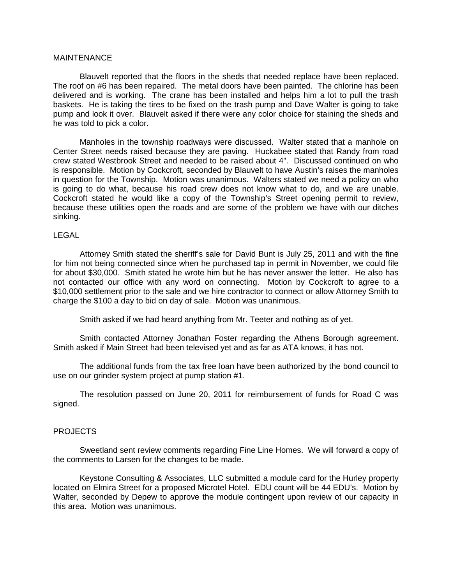## MAINTENANCE

 Blauvelt reported that the floors in the sheds that needed replace have been replaced. The roof on #6 has been repaired. The metal doors have been painted. The chlorine has been delivered and is working. The crane has been installed and helps him a lot to pull the trash baskets. He is taking the tires to be fixed on the trash pump and Dave Walter is going to take pump and look it over. Blauvelt asked if there were any color choice for staining the sheds and he was told to pick a color.

 Manholes in the township roadways were discussed. Walter stated that a manhole on Center Street needs raised because they are paving. Huckabee stated that Randy from road crew stated Westbrook Street and needed to be raised about 4". Discussed continued on who is responsible. Motion by Cockcroft, seconded by Blauvelt to have Austin's raises the manholes in question for the Township. Motion was unanimous. Walters stated we need a policy on who is going to do what, because his road crew does not know what to do, and we are unable. Cockcroft stated he would like a copy of the Township's Street opening permit to review, because these utilities open the roads and are some of the problem we have with our ditches sinking.

# LEGAL

 Attorney Smith stated the sheriff's sale for David Bunt is July 25, 2011 and with the fine for him not being connected since when he purchased tap in permit in November, we could file for about \$30,000. Smith stated he wrote him but he has never answer the letter. He also has not contacted our office with any word on connecting. Motion by Cockcroft to agree to a \$10,000 settlement prior to the sale and we hire contractor to connect or allow Attorney Smith to charge the \$100 a day to bid on day of sale. Motion was unanimous.

Smith asked if we had heard anything from Mr. Teeter and nothing as of yet.

 Smith contacted Attorney Jonathan Foster regarding the Athens Borough agreement. Smith asked if Main Street had been televised yet and as far as ATA knows, it has not.

 The additional funds from the tax free loan have been authorized by the bond council to use on our grinder system project at pump station #1.

 The resolution passed on June 20, 2011 for reimbursement of funds for Road C was signed.

#### PROJECTS

 Sweetland sent review comments regarding Fine Line Homes. We will forward a copy of the comments to Larsen for the changes to be made.

 Keystone Consulting & Associates, LLC submitted a module card for the Hurley property located on Elmira Street for a proposed Microtel Hotel. EDU count will be 44 EDU's. Motion by Walter, seconded by Depew to approve the module contingent upon review of our capacity in this area. Motion was unanimous.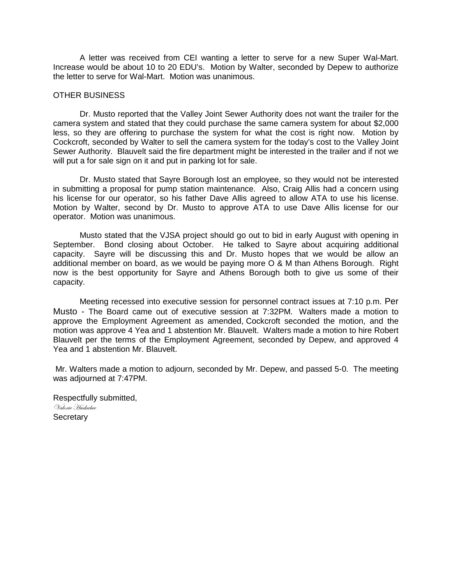A letter was received from CEI wanting a letter to serve for a new Super Wal-Mart. Increase would be about 10 to 20 EDU's. Motion by Walter, seconded by Depew to authorize the letter to serve for Wal-Mart. Motion was unanimous.

## OTHER BUSINESS

 Dr. Musto reported that the Valley Joint Sewer Authority does not want the trailer for the camera system and stated that they could purchase the same camera system for about \$2,000 less, so they are offering to purchase the system for what the cost is right now. Motion by Cockcroft, seconded by Walter to sell the camera system for the today's cost to the Valley Joint Sewer Authority. Blauvelt said the fire department might be interested in the trailer and if not we will put a for sale sign on it and put in parking lot for sale.

 Dr. Musto stated that Sayre Borough lost an employee, so they would not be interested in submitting a proposal for pump station maintenance. Also, Craig Allis had a concern using his license for our operator, so his father Dave Allis agreed to allow ATA to use his license. Motion by Walter, second by Dr. Musto to approve ATA to use Dave Allis license for our operator. Motion was unanimous.

 Musto stated that the VJSA project should go out to bid in early August with opening in September. Bond closing about October. He talked to Sayre about acquiring additional capacity. Sayre will be discussing this and Dr. Musto hopes that we would be allow an additional member on board, as we would be paying more O & M than Athens Borough. Right now is the best opportunity for Sayre and Athens Borough both to give us some of their capacity.

 Meeting recessed into executive session for personnel contract issues at 7:10 p.m. Per Musto - The Board came out of executive session at 7:32PM. Walters made a motion to approve the Employment Agreement as amended, Cockcroft seconded the motion, and the motion was approve 4 Yea and 1 abstention Mr. Blauvelt. Walters made a motion to hire Robert Blauvelt per the terms of the Employment Agreement, seconded by Depew, and approved 4 Yea and 1 abstention Mr. Blauvelt.

 Mr. Walters made a motion to adjourn, seconded by Mr. Depew, and passed 5-0. The meeting was adjourned at 7:47PM.

Respectfully submitted, Valorie Huckabee **Secretary**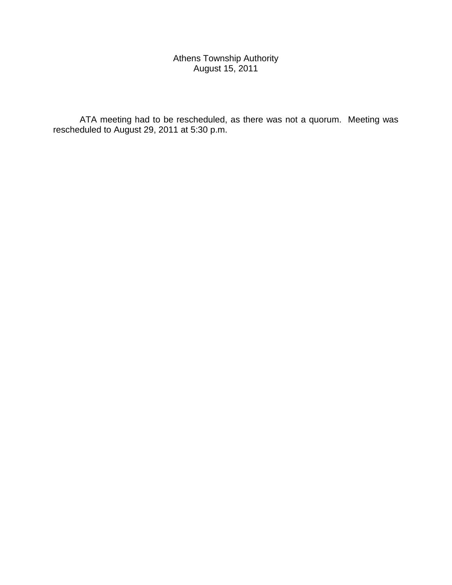# Athens Township Authority August 15, 2011

 ATA meeting had to be rescheduled, as there was not a quorum. Meeting was rescheduled to August 29, 2011 at 5:30 p.m.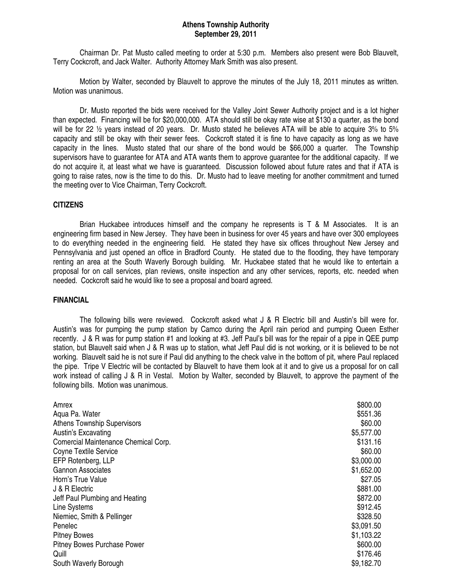#### **Athens Township Authority September 29, 2011**

 Chairman Dr. Pat Musto called meeting to order at 5:30 p.m. Members also present were Bob Blauvelt, Terry Cockcroft, and Jack Walter. Authority Attorney Mark Smith was also present.

 Motion by Walter, seconded by Blauvelt to approve the minutes of the July 18, 2011 minutes as written. Motion was unanimous.

 Dr. Musto reported the bids were received for the Valley Joint Sewer Authority project and is a lot higher than expected. Financing will be for \$20,000,000. ATA should still be okay rate wise at \$130 a quarter, as the bond will be for 22  $\frac{1}{2}$  years instead of 20 years. Dr. Musto stated he believes ATA will be able to acquire 3% to 5% capacity and still be okay with their sewer fees. Cockcroft stated it is fine to have capacity as long as we have capacity in the lines. Musto stated that our share of the bond would be \$66,000 a quarter. The Township supervisors have to guarantee for ATA and ATA wants them to approve guarantee for the additional capacity. If we do not acquire it, at least what we have is guaranteed. Discussion followed about future rates and that if ATA is going to raise rates, now is the time to do this. Dr. Musto had to leave meeting for another commitment and turned the meeting over to Vice Chairman, Terry Cockcroft.

## **CITIZENS**

 Brian Huckabee introduces himself and the company he represents is T & M Associates. It is an engineering firm based in New Jersey. They have been in business for over 45 years and have over 300 employees to do everything needed in the engineering field. He stated they have six offices throughout New Jersey and Pennsylvania and just opened an office in Bradford County. He stated due to the flooding, they have temporary renting an area at the South Waverly Borough building. Mr. Huckabee stated that he would like to entertain a proposal for on call services, plan reviews, onsite inspection and any other services, reports, etc. needed when needed. Cockcroft said he would like to see a proposal and board agreed.

#### **FINANCIAL**

The following bills were reviewed. Cockcroft asked what J & R Electric bill and Austin's bill were for. Austin's was for pumping the pump station by Camco during the April rain period and pumping Queen Esther recently. J & R was for pump station #1 and looking at #3. Jeff Paul's bill was for the repair of a pipe in QEE pump station, but Blauvelt said when J & R was up to station, what Jeff Paul did is not working, or it is believed to be not working. Blauvelt said he is not sure if Paul did anything to the check valve in the bottom of pit, where Paul replaced the pipe. Tripe V Electric will be contacted by Blauvelt to have them look at it and to give us a proposal for on call work instead of calling J & R in Vestal. Motion by Walter, seconded by Blauvelt, to approve the payment of the following bills. Motion was unanimous.

| Amrex                                | \$800.00   |
|--------------------------------------|------------|
| Aqua Pa. Water                       | \$551.36   |
| <b>Athens Township Supervisors</b>   | \$60.00    |
| Austin's Excavating                  | \$5,577.00 |
| Comercial Maintenance Chemical Corp. | \$131.16   |
| Coyne Textile Service                | \$60.00    |
| EFP Rotenberg, LLP                   | \$3,000.00 |
| <b>Gannon Associates</b>             | \$1,652.00 |
| Horn's True Value                    | \$27.05    |
| J & R Electric                       | \$881.00   |
| Jeff Paul Plumbing and Heating       | \$872.00   |
| Line Systems                         | \$912.45   |
| Niemiec, Smith & Pellinger           | \$328.50   |
| Penelec                              | \$3,091.50 |
| <b>Pitney Bowes</b>                  | \$1,103.22 |
| <b>Pitney Bowes Purchase Power</b>   | \$600.00   |
| Quill                                | \$176.46   |
| South Waverly Borough                | \$9,182.70 |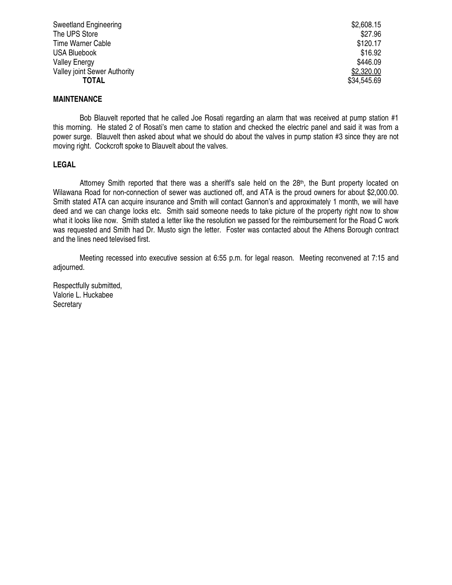| Sweetland Engineering               | \$2,608.15  |
|-------------------------------------|-------------|
| The UPS Store                       | \$27.96     |
| Time Warner Cable                   | \$120.17    |
| <b>USA Bluebook</b>                 | \$16.92     |
| <b>Valley Energy</b>                | \$446.09    |
| <b>Valley joint Sewer Authority</b> | \$2,320.00  |
| TOTAL                               | \$34,545.69 |

## **MAINTENANCE**

 Bob Blauvelt reported that he called Joe Rosati regarding an alarm that was received at pump station #1 this morning. He stated 2 of Rosati's men came to station and checked the electric panel and said it was from a power surge. Blauvelt then asked about what we should do about the valves in pump station #3 since they are not moving right. Cockcroft spoke to Blauvelt about the valves.

## **LEGAL**

Attorney Smith reported that there was a sheriff's sale held on the 28<sup>th</sup>, the Bunt property located on Wilawana Road for non-connection of sewer was auctioned off, and ATA is the proud owners for about \$2,000.00. Smith stated ATA can acquire insurance and Smith will contact Gannon's and approximately 1 month, we will have deed and we can change locks etc. Smith said someone needs to take picture of the property right now to show what it looks like now. Smith stated a letter like the resolution we passed for the reimbursement for the Road C work was requested and Smith had Dr. Musto sign the letter. Foster was contacted about the Athens Borough contract and the lines need televised first.

 Meeting recessed into executive session at 6:55 p.m. for legal reason. Meeting reconvened at 7:15 and adjourned.

Respectfully submitted, Valorie L. Huckabee **Secretary**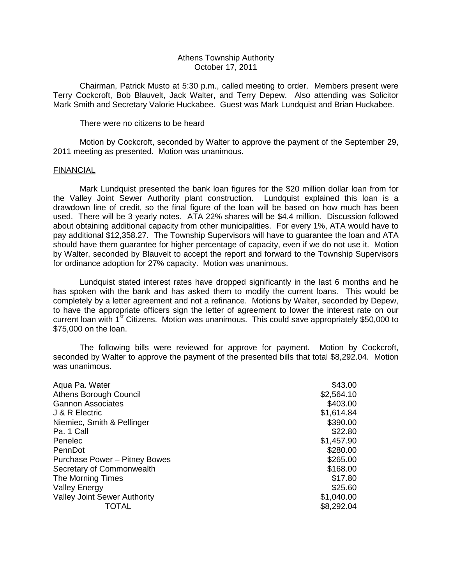## Athens Township Authority October 17, 2011

 Chairman, Patrick Musto at 5:30 p.m., called meeting to order. Members present were Terry Cockcroft, Bob Blauvelt, Jack Walter, and Terry Depew. Also attending was Solicitor Mark Smith and Secretary Valorie Huckabee. Guest was Mark Lundquist and Brian Huckabee.

There were no citizens to be heard

 Motion by Cockcroft, seconded by Walter to approve the payment of the September 29, 2011 meeting as presented. Motion was unanimous.

## FINANCIAL

 Mark Lundquist presented the bank loan figures for the \$20 million dollar loan from for the Valley Joint Sewer Authority plant construction. Lundquist explained this loan is a drawdown line of credit, so the final figure of the loan will be based on how much has been used. There will be 3 yearly notes. ATA 22% shares will be \$4.4 million. Discussion followed about obtaining additional capacity from other municipalities. For every 1%, ATA would have to pay additional \$12,358.27. The Township Supervisors will have to guarantee the loan and ATA should have them guarantee for higher percentage of capacity, even if we do not use it. Motion by Walter, seconded by Blauvelt to accept the report and forward to the Township Supervisors for ordinance adoption for 27% capacity. Motion was unanimous.

 Lundquist stated interest rates have dropped significantly in the last 6 months and he has spoken with the bank and has asked them to modify the current loans. This would be completely by a letter agreement and not a refinance. Motions by Walter, seconded by Depew, to have the appropriate officers sign the letter of agreement to lower the interest rate on our current loan with 1<sup>st</sup> Citizens. Motion was unanimous. This could save appropriately \$50,000 to \$75,000 on the loan.

 The following bills were reviewed for approve for payment. Motion by Cockcroft, seconded by Walter to approve the payment of the presented bills that total \$8,292.04. Motion was unanimous.

| Aqua Pa. Water                      | \$43.00    |
|-------------------------------------|------------|
| <b>Athens Borough Council</b>       | \$2,564.10 |
| <b>Gannon Associates</b>            | \$403.00   |
| J & R Electric                      | \$1,614.84 |
| Niemiec, Smith & Pellinger          | \$390.00   |
| Pa. 1 Call                          | \$22.80    |
| Penelec                             | \$1,457.90 |
| PennDot                             | \$280.00   |
| Purchase Power - Pitney Bowes       | \$265.00   |
| Secretary of Commonwealth           | \$168.00   |
| The Morning Times                   | \$17.80    |
| <b>Valley Energy</b>                | \$25.60    |
| <b>Valley Joint Sewer Authority</b> | \$1,040.00 |
| TOTAL                               | \$8,292.04 |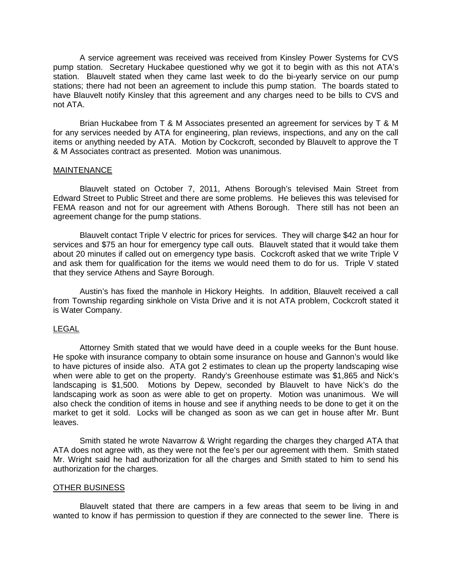A service agreement was received was received from Kinsley Power Systems for CVS pump station. Secretary Huckabee questioned why we got it to begin with as this not ATA's station. Blauvelt stated when they came last week to do the bi-yearly service on our pump stations; there had not been an agreement to include this pump station. The boards stated to have Blauvelt notify Kinsley that this agreement and any charges need to be bills to CVS and not ATA.

 Brian Huckabee from T & M Associates presented an agreement for services by T & M for any services needed by ATA for engineering, plan reviews, inspections, and any on the call items or anything needed by ATA. Motion by Cockcroft, seconded by Blauvelt to approve the T & M Associates contract as presented. Motion was unanimous.

## MAINTENANCE

 Blauvelt stated on October 7, 2011, Athens Borough's televised Main Street from Edward Street to Public Street and there are some problems. He believes this was televised for FEMA reason and not for our agreement with Athens Borough. There still has not been an agreement change for the pump stations.

 Blauvelt contact Triple V electric for prices for services. They will charge \$42 an hour for services and \$75 an hour for emergency type call outs. Blauvelt stated that it would take them about 20 minutes if called out on emergency type basis. Cockcroft asked that we write Triple V and ask them for qualification for the items we would need them to do for us. Triple V stated that they service Athens and Sayre Borough.

 Austin's has fixed the manhole in Hickory Heights. In addition, Blauvelt received a call from Township regarding sinkhole on Vista Drive and it is not ATA problem, Cockcroft stated it is Water Company.

# LEGAL

 Attorney Smith stated that we would have deed in a couple weeks for the Bunt house. He spoke with insurance company to obtain some insurance on house and Gannon's would like to have pictures of inside also. ATA got 2 estimates to clean up the property landscaping wise when were able to get on the property. Randy's Greenhouse estimate was \$1,865 and Nick's landscaping is \$1,500. Motions by Depew, seconded by Blauvelt to have Nick's do the landscaping work as soon as were able to get on property. Motion was unanimous. We will also check the condition of items in house and see if anything needs to be done to get it on the market to get it sold. Locks will be changed as soon as we can get in house after Mr. Bunt leaves.

 Smith stated he wrote Navarrow & Wright regarding the charges they charged ATA that ATA does not agree with, as they were not the fee's per our agreement with them. Smith stated Mr. Wright said he had authorization for all the charges and Smith stated to him to send his authorization for the charges.

# OTHER BUSINESS

 Blauvelt stated that there are campers in a few areas that seem to be living in and wanted to know if has permission to question if they are connected to the sewer line. There is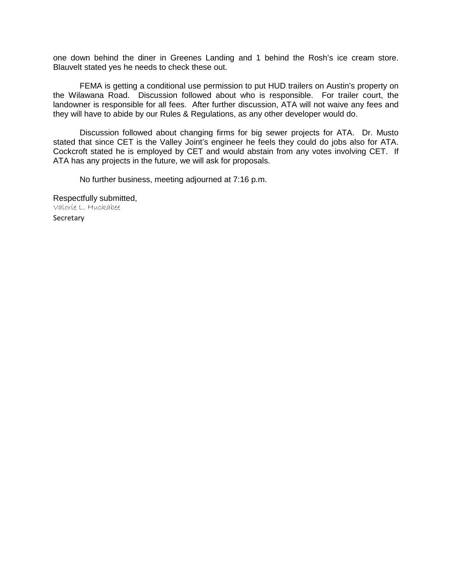one down behind the diner in Greenes Landing and 1 behind the Rosh's ice cream store. Blauvelt stated yes he needs to check these out.

 FEMA is getting a conditional use permission to put HUD trailers on Austin's property on the Wilawana Road. Discussion followed about who is responsible. For trailer court, the landowner is responsible for all fees. After further discussion, ATA will not waive any fees and they will have to abide by our Rules & Regulations, as any other developer would do.

 Discussion followed about changing firms for big sewer projects for ATA. Dr. Musto stated that since CET is the Valley Joint's engineer he feels they could do jobs also for ATA. Cockcroft stated he is employed by CET and would abstain from any votes involving CET. If ATA has any projects in the future, we will ask for proposals.

No further business, meeting adjourned at 7:16 p.m.

Respectfully submitted, Valorie L. Huckabee Secretary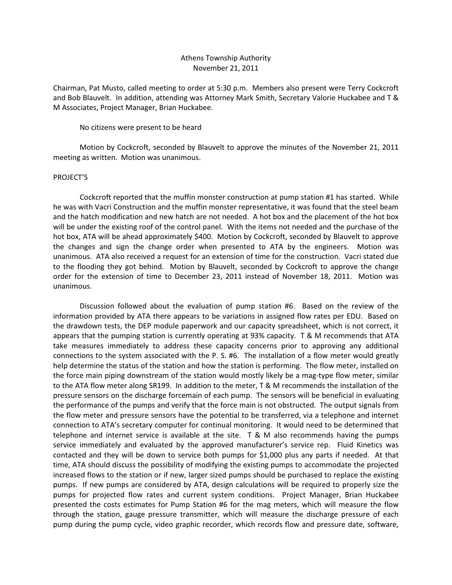## Athens Township Authority November 21, 2011

Chairman, Pat Musto, called meeting to order at 5:30 p.m. Members also present were Terry Cockcroft and Bob Blauvelt. In addition, attending was Attorney Mark Smith, Secretary Valorie Huckabee and T & M Associates, Project Manager, Brian Huckabee.

No citizens were present to be heard

 Motion by Cockcroft, seconded by Blauvelt to approve the minutes of the November 21, 2011 meeting as written. Motion was unanimous.

#### PROJECT'S

 Cockcroft reported that the muffin monster construction at pump station #1 has started. While he was with Vacri Construction and the muffin monster representative, it was found that the steel beam and the hatch modification and new hatch are not needed. A hot box and the placement of the hot box will be under the existing roof of the control panel. With the items not needed and the purchase of the hot box, ATA will be ahead approximately \$400. Motion by Cockcroft, seconded by Blauvelt to approve the changes and sign the change order when presented to ATA by the engineers. Motion was unanimous. ATA also received a request for an extension of time for the construction. Vacri stated due to the flooding they got behind. Motion by Blauvelt, seconded by Cockcroft to approve the change order for the extension of time to December 23, 2011 instead of November 18, 2011. Motion was unanimous.

 Discussion followed about the evaluation of pump station #6. Based on the review of the information provided by ATA there appears to be variations in assigned flow rates per EDU. Based on the drawdown tests, the DEP module paperwork and our capacity spreadsheet, which is not correct, it appears that the pumping station is currently operating at 93% capacity. T & M recommends that ATA take measures immediately to address these capacity concerns prior to approving any additional connections to the system associated with the P. S. #6. The installation of a flow meter would greatly help determine the status of the station and how the station is performing. The flow meter, installed on the force main piping downstream of the station would mostly likely be a mag-type flow meter, similar to the ATA flow meter along SR199. In addition to the meter, T & M recommends the installation of the pressure sensors on the discharge forcemain of each pump. The sensors will be beneficial in evaluating the performance of the pumps and verify that the force main is not obstructed. The output signals from the flow meter and pressure sensors have the potential to be transferred, via a telephone and internet connection to ATA's secretary computer for continual monitoring. It would need to be determined that telephone and internet service is available at the site. T & M also recommends having the pumps service immediately and evaluated by the approved manufacturer's service rep. Fluid Kinetics was contacted and they will be down to service both pumps for \$1,000 plus any parts if needed. At that time, ATA should discuss the possibility of modifying the existing pumps to accommodate the projected increased flows to the station or if new, larger sized pumps should be purchased to replace the existing pumps. If new pumps are considered by ATA, design calculations will be required to properly size the pumps for projected flow rates and current system conditions. Project Manager, Brian Huckabee presented the costs estimates for Pump Station #6 for the mag meters, which will measure the flow through the station, gauge pressure transmitter, which will measure the discharge pressure of each pump during the pump cycle, video graphic recorder, which records flow and pressure date, software,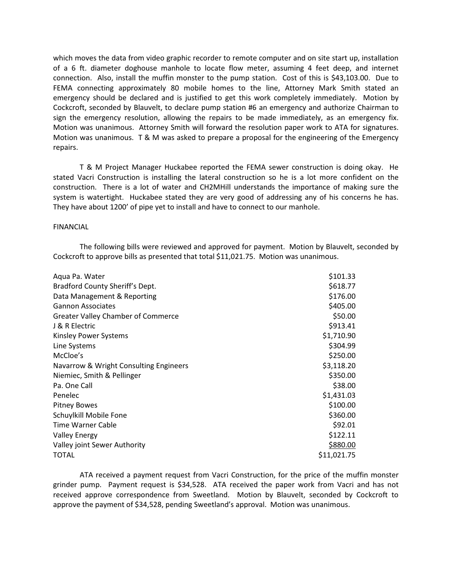which moves the data from video graphic recorder to remote computer and on site start up, installation of a 6 ft. diameter doghouse manhole to locate flow meter, assuming 4 feet deep, and internet connection. Also, install the muffin monster to the pump station. Cost of this is \$43,103.00. Due to FEMA connecting approximately 80 mobile homes to the line, Attorney Mark Smith stated an emergency should be declared and is justified to get this work completely immediately. Motion by Cockcroft, seconded by Blauvelt, to declare pump station #6 an emergency and authorize Chairman to sign the emergency resolution, allowing the repairs to be made immediately, as an emergency fix. Motion was unanimous. Attorney Smith will forward the resolution paper work to ATA for signatures. Motion was unanimous. T & M was asked to prepare a proposal for the engineering of the Emergency repairs.

 T & M Project Manager Huckabee reported the FEMA sewer construction is doing okay. He stated Vacri Construction is installing the lateral construction so he is a lot more confident on the construction. There is a lot of water and CH2MHill understands the importance of making sure the system is watertight. Huckabee stated they are very good of addressing any of his concerns he has. They have about 1200' of pipe yet to install and have to connect to our manhole.

#### FINANCIAL

 The following bills were reviewed and approved for payment. Motion by Blauvelt, seconded by Cockcroft to approve bills as presented that total \$11,021.75. Motion was unanimous.

| Aqua Pa. Water                         | \$101.33    |
|----------------------------------------|-------------|
| Bradford County Sheriff's Dept.        | \$618.77    |
| Data Management & Reporting            | \$176.00    |
| <b>Gannon Associates</b>               | \$405.00    |
| Greater Valley Chamber of Commerce     | \$50.00     |
| J & R Electric                         | \$913.41    |
| <b>Kinsley Power Systems</b>           | \$1,710.90  |
| Line Systems                           | \$304.99    |
| McCloe's                               | \$250.00    |
| Navarrow & Wright Consulting Engineers | \$3,118.20  |
| Niemiec, Smith & Pellinger             | \$350.00    |
| Pa. One Call                           | \$38.00     |
| Penelec                                | \$1,431.03  |
| <b>Pitney Bowes</b>                    | \$100.00    |
| Schuylkill Mobile Fone                 | \$360.00    |
| Time Warner Cable                      | \$92.01     |
| <b>Valley Energy</b>                   | \$122.11    |
| Valley joint Sewer Authority           | \$880.00    |
| <b>TOTAL</b>                           | \$11,021.75 |

 ATA received a payment request from Vacri Construction, for the price of the muffin monster grinder pump. Payment request is \$34,528. ATA received the paper work from Vacri and has not received approve correspondence from Sweetland. Motion by Blauvelt, seconded by Cockcroft to approve the payment of \$34,528, pending Sweetland's approval. Motion was unanimous.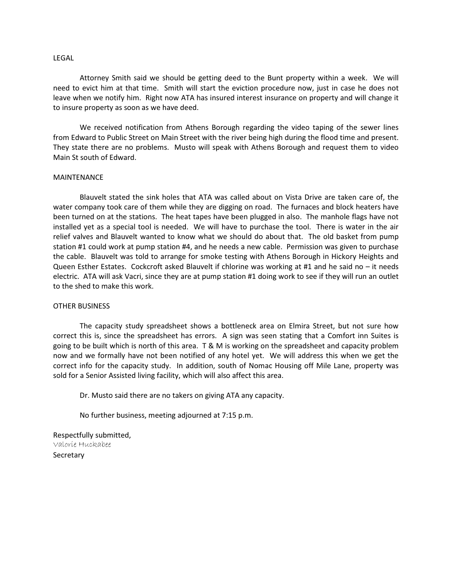#### LEGAL

 Attorney Smith said we should be getting deed to the Bunt property within a week. We will need to evict him at that time. Smith will start the eviction procedure now, just in case he does not leave when we notify him. Right now ATA has insured interest insurance on property and will change it to insure property as soon as we have deed.

 We received notification from Athens Borough regarding the video taping of the sewer lines from Edward to Public Street on Main Street with the river being high during the flood time and present. They state there are no problems. Musto will speak with Athens Borough and request them to video Main St south of Edward.

#### MAINTENANCE

 Blauvelt stated the sink holes that ATA was called about on Vista Drive are taken care of, the water company took care of them while they are digging on road. The furnaces and block heaters have been turned on at the stations. The heat tapes have been plugged in also. The manhole flags have not installed yet as a special tool is needed. We will have to purchase the tool. There is water in the air relief valves and Blauvelt wanted to know what we should do about that. The old basket from pump station #1 could work at pump station #4, and he needs a new cable. Permission was given to purchase the cable. Blauvelt was told to arrange for smoke testing with Athens Borough in Hickory Heights and Queen Esther Estates. Cockcroft asked Blauvelt if chlorine was working at #1 and he said no – it needs electric. ATA will ask Vacri, since they are at pump station #1 doing work to see if they will run an outlet to the shed to make this work.

#### OTHER BUSINESS

 The capacity study spreadsheet shows a bottleneck area on Elmira Street, but not sure how correct this is, since the spreadsheet has errors. A sign was seen stating that a Comfort inn Suites is going to be built which is north of this area. T & M is working on the spreadsheet and capacity problem now and we formally have not been notified of any hotel yet. We will address this when we get the correct info for the capacity study. In addition, south of Nomac Housing off Mile Lane, property was sold for a Senior Assisted living facility, which will also affect this area.

Dr. Musto said there are no takers on giving ATA any capacity.

No further business, meeting adjourned at 7:15 p.m.

Respectfully submitted, Valorie Huckabee **Secretary**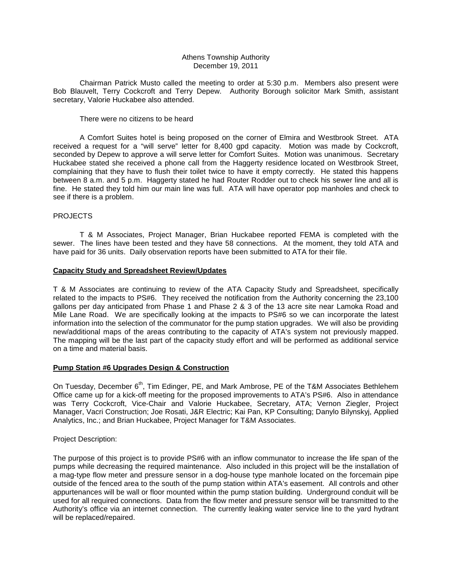#### Athens Township Authority December 19, 2011

 Chairman Patrick Musto called the meeting to order at 5:30 p.m. Members also present were Bob Blauvelt, Terry Cockcroft and Terry Depew. Authority Borough solicitor Mark Smith, assistant secretary, Valorie Huckabee also attended.

#### There were no citizens to be heard

 A Comfort Suites hotel is being proposed on the corner of Elmira and Westbrook Street. ATA received a request for a "will serve" letter for 8,400 gpd capacity. Motion was made by Cockcroft, seconded by Depew to approve a will serve letter for Comfort Suites. Motion was unanimous. Secretary Huckabee stated she received a phone call from the Haggerty residence located on Westbrook Street, complaining that they have to flush their toilet twice to have it empty correctly. He stated this happens between 8 a.m. and 5 p.m. Haggerty stated he had Router Rodder out to check his sewer line and all is fine. He stated they told him our main line was full. ATA will have operator pop manholes and check to see if there is a problem.

### PROJECTS

 T & M Associates, Project Manager, Brian Huckabee reported FEMA is completed with the sewer. The lines have been tested and they have 58 connections. At the moment, they told ATA and have paid for 36 units. Daily observation reports have been submitted to ATA for their file.

#### **Capacity Study and Spreadsheet Review/Updates**

T & M Associates are continuing to review of the ATA Capacity Study and Spreadsheet, specifically related to the impacts to PS#6. They received the notification from the Authority concerning the 23,100 gallons per day anticipated from Phase 1 and Phase 2 & 3 of the 13 acre site near Lamoka Road and Mile Lane Road. We are specifically looking at the impacts to PS#6 so we can incorporate the latest information into the selection of the communator for the pump station upgrades. We will also be providing new/additional maps of the areas contributing to the capacity of ATA's system not previously mapped. The mapping will be the last part of the capacity study effort and will be performed as additional service on a time and material basis.

#### **Pump Station #6 Upgrades Design & Construction**

On Tuesday, December 6<sup>th</sup>, Tim Edinger, PE, and Mark Ambrose, PE of the T&M Associates Bethlehem Office came up for a kick-off meeting for the proposed improvements to ATA's PS#6. Also in attendance was Terry Cockcroft, Vice-Chair and Valorie Huckabee, Secretary, ATA; Vernon Ziegler, Project Manager, Vacri Construction; Joe Rosati, J&R Electric; Kai Pan, KP Consulting; Danylo Bilynskyj, Applied Analytics, Inc.; and Brian Huckabee, Project Manager for T&M Associates.

#### Project Description:

The purpose of this project is to provide PS#6 with an inflow communator to increase the life span of the pumps while decreasing the required maintenance. Also included in this project will be the installation of a mag-type flow meter and pressure sensor in a dog-house type manhole located on the forcemain pipe outside of the fenced area to the south of the pump station within ATA's easement. All controls and other appurtenances will be wall or floor mounted within the pump station building. Underground conduit will be used for all required connections. Data from the flow meter and pressure sensor will be transmitted to the Authority's office via an internet connection. The currently leaking water service line to the yard hydrant will be replaced/repaired.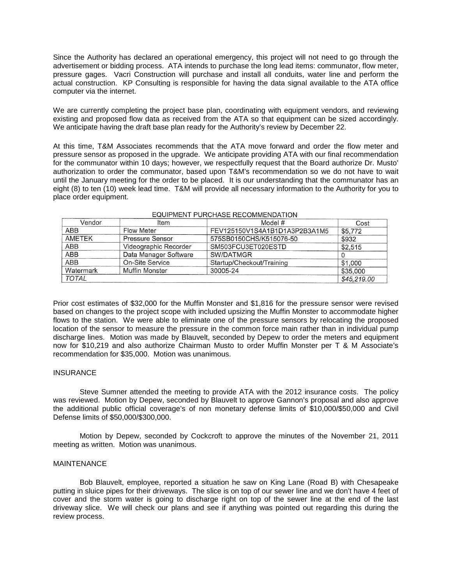Since the Authority has declared an operational emergency, this project will not need to go through the advertisement or bidding process. ATA intends to purchase the long lead items: communator, flow meter, pressure gages. Vacri Construction will purchase and install all conduits, water line and perform the actual construction. KP Consulting is responsible for having the data signal available to the ATA office computer via the internet.

We are currently completing the project base plan, coordinating with equipment vendors, and reviewing existing and proposed flow data as received from the ATA so that equipment can be sized accordingly. We anticipate having the draft base plan ready for the Authority's review by December 22.

At this time, T&M Associates recommends that the ATA move forward and order the flow meter and pressure sensor as proposed in the upgrade. We anticipate providing ATA with our final recommendation for the communator within 10 days; however, we respectfully request that the Board authorize Dr. Musto' authorization to order the communator, based upon T&M's recommendation so we do not have to wait until the January meeting for the order to be placed. It is our understanding that the communator has an eight (8) to ten (10) week lead time. T&M will provide all necessary information to the Authority for you to place order equipment.

| Vendor       | Item                   | Model #                       | Cost        |
|--------------|------------------------|-------------------------------|-------------|
| <b>ABB</b>   | <b>Flow Meter</b>      | FEV125150V1S4A1B1D1A3P2B3A1M5 | \$5,772     |
| AMETEK       | <b>Pressure Sensor</b> | 575SB0150CHS/K515076-50       | \$932       |
| ABB          | Videographic Recorder  | SM503FCU3ET020ESTD            | \$2,515     |
| ABB          | Data Manager Software  | SW/DATMGR                     |             |
| ABB          | <b>On-Site Service</b> | Startup/Checkout/Training     | \$1,000     |
| Watermark    | <b>Muffin Monster</b>  | 30005-24                      | \$35,000    |
| <b>TOTAL</b> |                        |                               | \$45,219.00 |

#### EQUIPMENT PURCHASE RECOMMENDATION

Prior cost estimates of \$32,000 for the Muffin Monster and \$1,816 for the pressure sensor were revised based on changes to the project scope with included upsizing the Muffin Monster to accommodate higher flows to the station. We were able to eliminate one of the pressure sensors by relocating the proposed location of the sensor to measure the pressure in the common force main rather than in individual pump discharge lines. Motion was made by Blauvelt, seconded by Depew to order the meters and equipment now for \$10,219 and also authorize Chairman Musto to order Muffin Monster per T & M Associate's recommendation for \$35,000. Motion was unanimous.

#### **INSURANCE**

 Steve Sumner attended the meeting to provide ATA with the 2012 insurance costs. The policy was reviewed. Motion by Depew, seconded by Blauvelt to approve Gannon's proposal and also approve the additional public official coverage's of non monetary defense limits of \$10,000/\$50,000 and Civil Defense limits of \$50,000/\$300,000.

 Motion by Depew, seconded by Cockcroft to approve the minutes of the November 21, 2011 meeting as written. Motion was unanimous.

#### MAINTENANCE

 Bob Blauvelt, employee, reported a situation he saw on King Lane (Road B) with Chesapeake putting in sluice pipes for their driveways. The slice is on top of our sewer line and we don't have 4 feet of cover and the storm water is going to discharge right on top of the sewer line at the end of the last driveway slice. We will check our plans and see if anything was pointed out regarding this during the review process.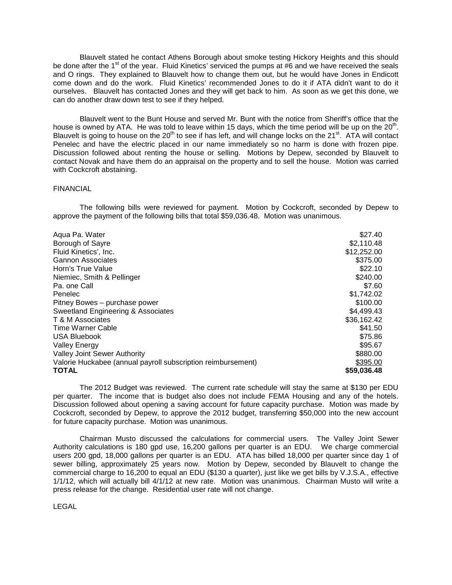Blauvelt stated he contact Athens Borough about smoke testing Hickory Heights and this should be done after the 1<sup>st</sup> of the year. Fluid Kinetics' serviced the pumps at #6 and we have received the seals and O rings. They explained to Blauvelt how to change them out, but he would have Jones in Endicott come down and do the work. Fluid Kinetics' recommended Jones to do it if ATA didn't want to do it ourselves. Blauvelt has contacted Jones and they will get back to him. As soon as we get this done, we can do another draw down test to see if they helped.

 Blauvelt went to the Bunt House and served Mr. Bunt with the notice from Sheriff's office that the house is owned by ATA. He was told to leave within 15 days, which the time period will be up on the 20<sup>th</sup>. Blauvelt is going to house on the  $20<sup>th</sup>$  to see if has left, and will change locks on the  $21<sup>st</sup>$ . ATA will contact Penelec and have the electric placed in our name immediately so no harm is done with frozen pipe. Discussion followed about renting the house or selling. Motions by Depew, seconded by Blauvelt to contact Novak and have them do an appraisal on the property and to sell the house. Motion was carried with Cockcroft abstaining.

#### FINANCIAL

 The following bills were reviewed for payment. Motion by Cockcroft, seconded by Depew to approve the payment of the following bills that total \$59,036.48. Motion was unanimous.

| Aqua Pa. Water                                               | \$27.40     |
|--------------------------------------------------------------|-------------|
| Borough of Sayre                                             | \$2,110.48  |
| Fluid Kinetics', Inc.                                        | \$12,252.00 |
| Gannon Associates                                            | \$375.00    |
| Horn's True Value                                            | \$22.10     |
| Niemiec, Smith & Pellinger                                   | \$240.00    |
| Pa. one Call                                                 | \$7.60      |
| Penelec                                                      | \$1,742.02  |
| Pitney Bowes - purchase power                                | \$100.00    |
| Sweetland Engineering & Associates                           | \$4,499.43  |
| T & M Associates                                             | \$36,162.42 |
| <b>Time Warner Cable</b>                                     | \$41.50     |
| <b>USA Bluebook</b>                                          | \$75.86     |
| <b>Valley Energy</b>                                         | \$95.67     |
| <b>Valley Joint Sewer Authority</b>                          | \$880.00    |
| Valorie Huckabee (annual payroll subscription reimbursement) | \$395.00    |
| <b>TOTAL</b>                                                 | \$59,036.48 |

The 2012 Budget was reviewed. The current rate schedule will stay the same at \$130 per EDU per quarter. The income that is budget also does not include FEMA Housing and any of the hotels. Discussion followed about opening a saving account for future capacity purchase. Motion was made by Cockcroft, seconded by Depew, to approve the 2012 budget, transferring \$50,000 into the new account for future capacity purchase. Motion was unanimous.

 Chairman Musto discussed the calculations for commercial users. The Valley Joint Sewer Authority calculations is 180 gpd use, 16,200 gallons per quarter is an EDU. We charge commercial users 200 gpd, 18,000 gallons per quarter is an EDU. ATA has billed 18,000 per quarter since day 1 of sewer billing, approximately 25 years now. Motion by Depew, seconded by Blauvelt to change the commercial charge to 16,200 to equal an EDU (\$130 a quarter), just like we get bills by V.J.S.A., effective 1/1/12, which will actually bill 4/1/12 at new rate. Motion was unanimous. Chairman Musto will write a press release for the change. Residential user rate will not change.

LEGAL